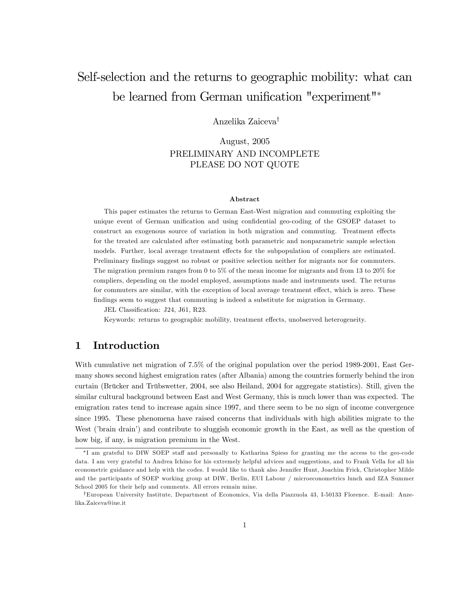# Self-selection and the returns to geographic mobility: what can be learned from German unification "experiment"\*

Anzelika Zaiceva<sup>†</sup>

August, 2005 PRELIMINARY AND INCOMPLETE PLEASE DO NOT QUOTE

#### Abstract

This paper estimates the returns to German East-West migration and commuting exploiting the unique event of German unification and using confidential geo-coding of the GSOEP dataset to construct an exogenous source of variation in both migration and commuting. Treatment effects for the treated are calculated after estimating both parametric and nonparametric sample selection models. Further, local average treatment effects for the subpopulation of compliers are estimated. Preliminary findings suggest no robust or positive selection neither for migrants nor for commuters. The migration premium ranges from 0 to 5% of the mean income for migrants and from 13 to 20% for compliers, depending on the model employed, assumptions made and instruments used. The returns for commuters are similar, with the exception of local average treatment effect, which is zero. These findings seem to suggest that commuting is indeed a substitute for migration in Germany.

JEL Classification: J24, J61, R23.

Keywords: returns to geographic mobility, treatment effects, unobserved heterogeneity.

### 1 Introduction

With cumulative net migration of 7.5% of the original population over the period 1989-2001, East Germany shows second highest emigration rates (after Albania) among the countries formerly behind the iron curtain (Brücker and Trübswetter, 2004, see also Heiland, 2004 for aggregate statistics). Still, given the similar cultural background between East and West Germany, this is much lower than was expected. The emigration rates tend to increase again since 1997, and there seem to be no sign of income convergence since 1995. These phenomena have raised concerns that individuals with high abilities migrate to the West ('brain drain') and contribute to sluggish economic growth in the East, as well as the question of how big, if any, is migration premium in the West.

<sup>\*</sup>I am grateful to DIW SOEP staff and personally to Katharina Spiess for granting me the access to the geo-code data. I am very grateful to Andrea Ichino for his extremely helpful advices and suggestions, and to Frank Vella for all his econometric guidance and help with the codes. I would like to thank also Jennifer Hunt, Joachim Frick, Christopher Milde and the participants of SOEP working group at DIW, Berlin, EUI Labour / microeconometrics lunch and IZA Summer School 2005 for their help and comments. All errors remain mine.

<sup>&</sup>lt;sup>†</sup>European University Institute, Department of Economics, Via della Piazzuola 43, I-50133 Florence. E-mail: Anzelika.Zaiceva@iue.it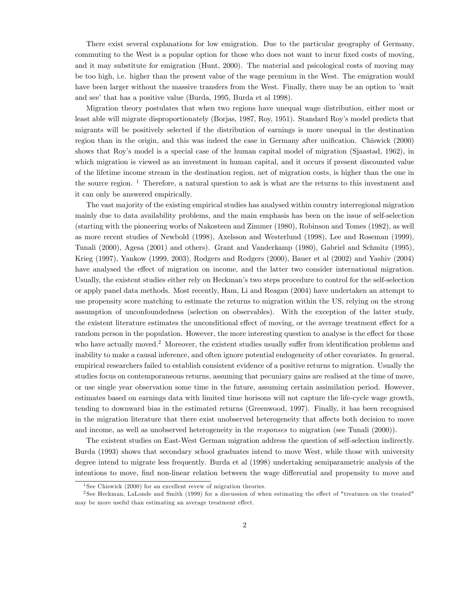There exist several explanations for low emigration. Due to the particular geography of Germany, commuting to the West is a popular option for those who does not want to incur fixed costs of moving, and it may substitute for emigration (Hunt, 2000). The material and psicological costs of moving may be too high, i.e. higher than the present value of the wage premium in the West. The emigration would have been larger without the massive transfers from the West. Finally, there may be an option to 'wait and see' that has a positive value (Burda, 1995, Burda et al 1998).

Migration theory postulates that when two regions have unequal wage distribution, either most or least able will migrate disproportionately (Borjas, 1987, Roy, 1951). Standard Royís model predicts that migrants will be positively selected if the distribution of earnings is more unequal in the destination region than in the origin, and this was indeed the case in Germany after unification. Chiswick (2000) shows that Roy's model is a special case of the human capital model of migration (Sjaastad, 1962), in which migration is viewed as an investment in human capital, and it occurs if present discounted value of the lifetime income stream in the destination region, net of migration costs, is higher than the one in the source region.  $1$  Therefore, a natural question to ask is what are the returns to this investment and it can only be answered empirically.

The vast majority of the existing empirical studies has analysed within country interregional migration mainly due to data availability problems, and the main emphasis has been on the issue of self-selection (starting with the pioneering works of Nakosteen and Zimmer (1980), Robinson and Tomes (1982), as well as more recent studies of Newbold (1998), Axelsson and Westerlund (1998), Lee and Roseman (1999), Tunali (2000), Agesa (2001) and others). Grant and Vanderkamp (1980), Gabriel and Schmitz (1995), Krieg (1997), Yankow (1999, 2003), Rodgers and Rodgers (2000), Bauer et al (2002) and Yashiv (2004) have analysed the effect of migration on income, and the latter two consider international migration. Usually, the existent studies either rely on Heckman's two steps procedure to control for the self-selection or apply panel data methods. Most recently, Ham, Li and Reagan (2004) have undertaken an attempt to use propensity score matching to estimate the returns to migration within the US, relying on the strong assumption of unconfoundedness (selection on observables). With the exception of the latter study, the existent literature estimates the unconditional effect of moving, or the average treatment effect for a random person in the population. However, the more interesting question to analyse is the effect for those who have actually moved.<sup>2</sup> Moreover, the existent studies usually suffer from identification problems and inability to make a causal inference, and often ignore potential endogeneity of other covariates. In general, empirical researchers failed to establish consistent evidence of a positive returns to migration. Usually the studies focus on contemporaneous returns, assuming that pecuniary gains are realised at the time of move, or use single year observation some time in the future, assuming certain assimilation period. However, estimates based on earnings data with limited time horisons will not capture the life-cycle wage growth, tending to downward bias in the estimated returns (Greenwood, 1997). Finally, it has been recognised in the migration literature that there exist unobserved heterogeneity that affects both decision to move and income, as well as unobserved heterogeneity in the responses to migration (see Tunali (2000)).

The existent studies on East-West German migration address the question of self-selection indirectly. Burda (1993) shows that secondary school graduates intend to move West, while those with university degree intend to migrate less frequently. Burda et al (1998) undertaking semiparametric analysis of the intentions to move, find non-linear relation between the wage differential and propensity to move and

<sup>&</sup>lt;sup>1</sup> See Chiswick (2000) for an excellent revew of migration theories.

<sup>&</sup>lt;sup>2</sup> See Heckman, LaLonde and Smith (1999) for a discussion of when estimating the effect of "treatmen on the treated" may be more useful than estimating an average treatment effect.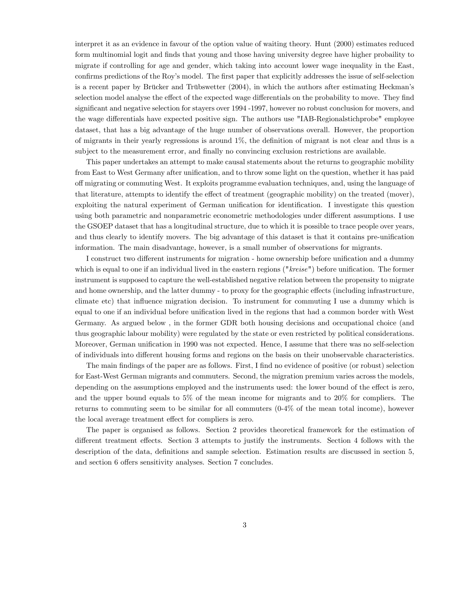interpret it as an evidence in favour of the option value of waiting theory. Hunt (2000) estimates reduced form multinomial logit and Önds that young and those having university degree have higher probaility to migrate if controlling for age and gender, which taking into account lower wage inequality in the East, confirms predictions of the Roy's model. The first paper that explicitly addresses the issue of self-selection is a recent paper by Brücker and Trübswetter (2004), in which the authors after estimating Heckman's selection model analyse the effect of the expected wage differentials on the probability to move. They find significant and negative selection for stayers over 1994 -1997, however no robust conclusion for movers, and the wage differentials have expected positive sign. The authors use "IAB-Regionalstichprobe" employee dataset, that has a big advantage of the huge number of observations overall. However, the proportion of migrants in their yearly regressions is around  $1\%$ , the definition of migrant is not clear and thus is a subject to the measurement error, and finally no convincing exclusion restrictions are available.

This paper undertakes an attempt to make causal statements about the returns to geographic mobility from East to West Germany after unification, and to throw some light on the question, whether it has paid off migrating or commuting West. It exploits programme evaluation techniques, and, using the language of that literature, attempts to identify the effect of treatment (geographic mobility) on the treated (mover), exploiting the natural experiment of German unification for identification. I investigate this question using both parametric and nonparametric econometric methodologies under different assumptions. I use the GSOEP dataset that has a longitudinal structure, due to which it is possible to trace people over years, and thus clearly to identify movers. The big advantage of this dataset is that it contains pre-unification information. The main disadvantage, however, is a small number of observations for migrants.

I construct two different instruments for migration - home ownership before unification and a dummy which is equal to one if an individual lived in the eastern regions  $("kreise")$  before unification. The former instrument is supposed to capture the well-established negative relation between the propensity to migrate and home ownership, and the latter dummy - to proxy for the geographic effects (including infrastructure, climate etc) that ináuence migration decision. To instrument for commuting I use a dummy which is equal to one if an individual before unification lived in the regions that had a common border with West Germany. As argued below , in the former GDR both housing decisions and occupational choice (and thus geographic labour mobility) were regulated by the state or even restricted by political considerations. Moreover, German unification in 1990 was not expected. Hence, I assume that there was no self-selection of individuals into different housing forms and regions on the basis on their unobservable characteristics.

The main findings of the paper are as follows. First, I find no evidence of positive (or robust) selection for East-West German migrants and commuters. Second, the migration premium varies across the models, depending on the assumptions employed and the instruments used: the lower bound of the effect is zero, and the upper bound equals to 5% of the mean income for migrants and to 20% for compliers. The returns to commuting seem to be similar for all commuters (0-4% of the mean total income), however the local average treatment effect for compliers is zero.

The paper is organised as follows. Section 2 provides theoretical framework for the estimation of different treatment effects. Section 3 attempts to justify the instruments. Section 4 follows with the description of the data, definitions and sample selection. Estimation results are discussed in section 5, and section 6 offers sensitivity analyses. Section 7 concludes.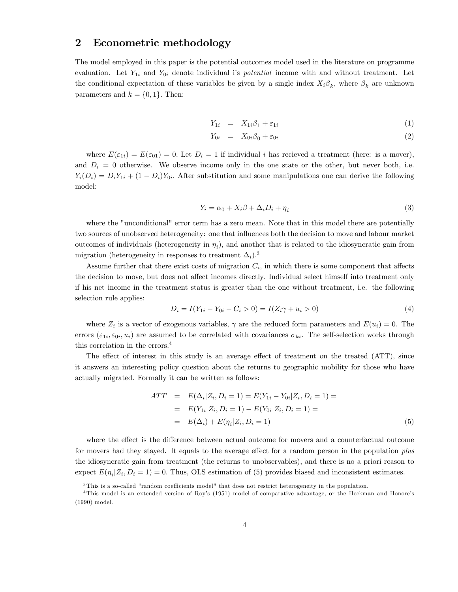#### 2 Econometric methodology

The model employed in this paper is the potential outcomes model used in the literature on programme evaluation. Let  $Y_{1i}$  and  $Y_{0i}$  denote individual is *potential* income with and without treatment. Let the conditional expectation of these variables be given by a single index  $X_i \beta_k$ , where  $\beta_k$  are unknown parameters and  $k = \{0, 1\}$ . Then:

$$
Y_{1i} = X_{1i}\beta_1 + \varepsilon_{1i} \tag{1}
$$

$$
Y_{0i} = X_{0i}\beta_0 + \varepsilon_{0i} \tag{2}
$$

where  $E(\varepsilon_{1i}) = E(\varepsilon_{01}) = 0$ . Let  $D_i = 1$  if individual i has recieved a treatment (here: is a mover), and  $D_i = 0$  otherwise. We observe income only in the one state or the other, but never both, i.e.  $Y_i(D_i) = D_i Y_{1i} + (1 - D_i) Y_{0i}$ . After substitution and some manipulations one can derive the following model:

$$
Y_i = \alpha_0 + X_i \beta + \Delta_i D_i + \eta_i \tag{3}
$$

where the "unconditional" error term has a zero mean. Note that in this model there are potentially two sources of unobserved heterogeneity: one that influences both the decision to move and labour market outcomes of individuals (heterogeneity in  $\eta_i$ ), and another that is related to the idiosyncratic gain from migration (heterogeneity in responses to treatment  $\Delta_i$ ).<sup>3</sup>

Assume further that there exist costs of migration  $C_i$ , in which there is some component that affects the decision to move, but does not affect incomes directly. Individual select himself into treatment only if his net income in the treatment status is greater than the one without treatment, i.e. the following selection rule applies:

$$
D_i = I(Y_{1i} - Y_{0i} - C_i > 0) = I(Z_i\gamma + u_i > 0)
$$
\n<sup>(4)</sup>

where  $Z_i$  is a vector of exogenous variables,  $\gamma$  are the reduced form parameters and  $E(u_i) = 0$ . The errors  $(\varepsilon_{1i}, \varepsilon_{0i}, u_i)$  are assumed to be correlated with covariances  $\sigma_{ki}$ . The self-selection works through this correlation in the errors.<sup>4</sup>

The effect of interest in this study is an average effect of treatment on the treated (ATT), since it answers an interesting policy question about the returns to geographic mobility for those who have actually migrated. Formally it can be written as follows:

$$
ATT = E(\Delta_i | Z_i, D_i = 1) = E(Y_{1i} - Y_{0i} | Z_i, D_i = 1) =
$$
  
=  $E(Y_{1i} | Z_i, D_i = 1) - E(Y_{0i} | Z_i, D_i = 1) =$   
=  $E(\Delta_i) + E(\eta_i | Z_i, D_i = 1)$  (5)

where the effect is the difference between actual outcome for movers and a counterfactual outcome for movers had they stayed. It equals to the average effect for a random person in the population plus the idiosyncratic gain from treatment (the returns to unobservables), and there is no a priori reason to expect  $E(\eta_i | Z_i, D_i = 1) = 0$ . Thus, OLS estimation of (5) provides biased and inconsistent estimates.

 $3$ This is a so-called "random coefficients model" that does not restrict heterogeneity in the population.

<sup>&</sup>lt;sup>4</sup>This model is an extended version of Roy's (1951) model of comparative advantage, or the Heckman and Honore's (1990) model.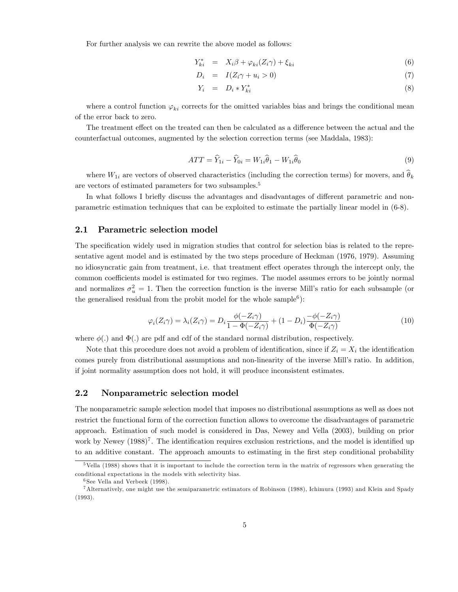For further analysis we can rewrite the above model as follows:

$$
Y_{ki}^* = X_i \beta + \varphi_{ki}(Z_i \gamma) + \xi_{ki}
$$
\n
$$
(6)
$$

$$
D_i = I(Z_i \gamma + u_i > 0) \tag{7}
$$

$$
Y_i = D_i * Y_{ki}^* \tag{8}
$$

where a control function  $\varphi_{ki}$  corrects for the omitted variables bias and brings the conditional mean of the error back to zero.

The treatment effect on the treated can then be calculated as a difference between the actual and the counterfactual outcomes, augmented by the selection correction terms (see Maddala, 1983):

$$
ATT = \widehat{Y}_{1i} - \widehat{Y}_{0i} = W_{1i}\widehat{\theta}_1 - W_{1i}\widehat{\theta}_0
$$
\n
$$
\tag{9}
$$

where  $W_{1i}$  are vectors of observed characteristics (including the correction terms) for movers, and  $\theta_k$ are vectors of estimated parameters for two subsamples.<sup>5</sup>

In what follows I briefly discuss the advantages and disadvantages of different parametric and nonparametric estimation techniques that can be exploited to estimate the partially linear model in (6-8).

#### 2.1 Parametric selection model

The specification widely used in migration studies that control for selection bias is related to the representative agent model and is estimated by the two steps procedure of Heckman (1976, 1979). Assuming no idiosyncratic gain from treatment, i.e. that treatment effect operates through the intercept only, the common coefficients model is estimated for two regimes. The model assumes errors to be jointly normal and normalizes  $\sigma_u^2 = 1$ . Then the correction function is the inverse Mill's ratio for each subsample (or the generalised residual from the probit model for the whole sample<sup>6</sup>):

$$
\varphi_i(Z_i \gamma) = \lambda_i(Z_i \gamma) = D_i \frac{\phi(-Z_i \gamma)}{1 - \Phi(-Z_i \gamma)} + (1 - D_i) \frac{-\phi(-Z_i \gamma)}{\Phi(-Z_i \gamma)}
$$
(10)

where  $\phi(.)$  and  $\Phi(.)$  are pdf and cdf of the standard normal distribution, respectively.

Note that this procedure does not avoid a problem of identification, since if  $Z_i = X_i$  the identification comes purely from distributional assumptions and non-linearity of the inverse Mill's ratio. In addition, if joint normality assumption does not hold, it will produce inconsistent estimates.

#### 2.2 Nonparametric selection model

The nonparametric sample selection model that imposes no distributional assumptions as well as does not restrict the functional form of the correction function allows to overcome the disadvantages of parametric approach. Estimation of such model is considered in Das, Newey and Vella (2003), building on prior work by Newey  $(1988)^7$ . The identification requires exclusion restrictions, and the model is identified up to an additive constant. The approach amounts to estimating in the first step conditional probability

<sup>5</sup>Vella (1988) shows that it is important to include the correction term in the matrix of regressors when generating the conditional expectations in the models with selectivity bias.

<sup>6</sup> See Vella and Verbeek (1998).

<sup>7</sup>Alternatively, one might use the semiparametric estimators of Robinson (1988), Ichimura (1993) and Klein and Spady (1993).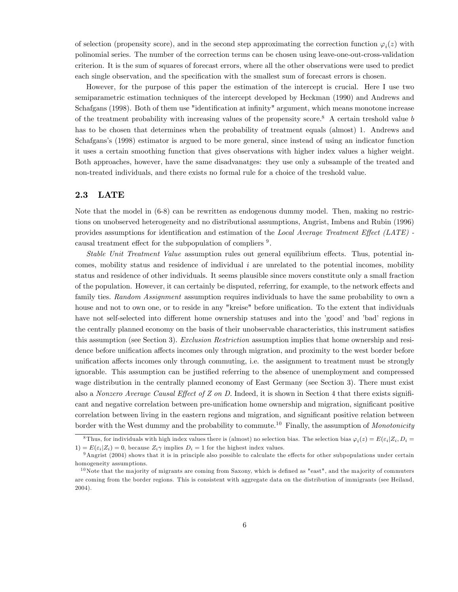of selection (propensity score), and in the second step approximating the correction function  $\varphi_i(z)$  with polinomial series. The number of the correction terms can be chosen using leave-one-out-cross-validation criterion. It is the sum of squares of forecast errors, where all the other observations were used to predict each single observation, and the specification with the smallest sum of forecast errors is chosen.

However, for the purpose of this paper the estimation of the intercept is crucial. Here I use two semiparametric estimation techniques of the intercept developed by Heckman (1990) and Andrews and Schafgans (1998). Both of them use "identification at infinity" argument, which means monotone increase of the treatment probability with increasing values of the propensity score.<sup>8</sup> A certain treshold value  $b$ has to be chosen that determines when the probability of treatment equals (almost) 1. Andrews and Schafgansís (1998) estimator is argued to be more general, since instead of using an indicator function it uses a certain smoothing function that gives observations with higher index values a higher weight. Both approaches, however, have the same disadvanatges: they use only a subsample of the treated and non-treated individuals, and there exists no formal rule for a choice of the treshold value.

#### 2.3 LATE

Note that the model in (6-8) can be rewritten as endogenous dummy model. Then, making no restrictions on unobserved heterogeneity and no distributional assumptions, Angrist, Imbens and Rubin (1996) provides assumptions for identification and estimation of the Local Average Treatment Effect (LATE) causal treatment effect for the subpopulation of compliers  $9$ .

Stable Unit Treatment Value assumption rules out general equilibrium effects. Thus, potential incomes, mobility status and residence of individual  $i$  are unrelated to the potential incomes, mobility status and residence of other individuals. It seems plausible since movers constitute only a small fraction of the population. However, it can certainly be disputed, referring, for example, to the network effects and family ties. Random Assignment assumption requires individuals to have the same probability to own a house and not to own one, or to reside in any "kreise" before unification. To the extent that individuals have not self-selected into different home ownership statuses and into the 'good' and 'bad' regions in the centrally planned economy on the basis of their unobservable characteristics, this instrument satisfies this assumption (see Section 3). Exclusion Restriction assumption implies that home ownership and residence before unification affects incomes only through migration, and proximity to the west border before unification affects incomes only through commuting, i.e. the assignment to treatment must be strongly ignorable. This assumption can be justified referring to the absence of unemployment and compressed wage distribution in the centrally planned economy of East Germany (see Section 3). There must exist also a Nonzero Average Causal Effect of  $Z$  on  $D$ . Indeed, it is shown in Section 4 that there exists significant and negative correlation between pre-unification home ownership and migration, significant positive correlation between living in the eastern regions and migration, and significant positive relation between border with the West dummy and the probability to commute.<sup>10</sup> Finally, the assumption of *Monotonicity* 

<sup>&</sup>lt;sup>8</sup>Thus, for individuals with high index values there is (almost) no selection bias. The selection bias  $\varphi_i(z) = E(\varepsilon_i | Z_i, D_i =$ 1) =  $E(\varepsilon_i | Z_i) = 0$ , because  $Z_i \gamma$  implies  $D_i = 1$  for the highest index values.

 $9$ Angrist (2004) shows that it is in principle also possible to calculate the effects for other subpopulations under certain homogeneity assumptions.

 $10$  Note that the majority of migrants are coming from Saxony, which is defined as "east", and the majority of commuters are coming from the border regions. This is consistent with aggregate data on the distribution of immigrants (see Heiland, 2004).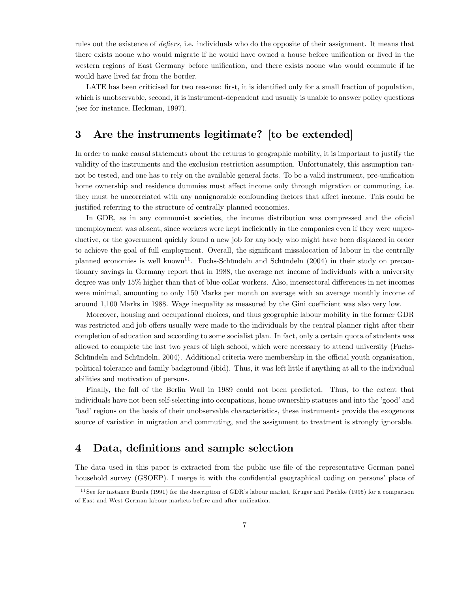rules out the existence of *defiers*, i.e. individuals who do the opposite of their assignment. It means that there exists noone who would migrate if he would have owned a house before unification or lived in the western regions of East Germany before unification, and there exists noone who would commute if he would have lived far from the border.

LATE has been criticised for two reasons: first, it is identified only for a small fraction of population, which is unobservable, second, it is instrument-dependent and usually is unable to answer policy questions (see for instance, Heckman, 1997).

### 3 Are the instruments legitimate? [to be extended]

In order to make causal statements about the returns to geographic mobility, it is important to justify the validity of the instruments and the exclusion restriction assumption. Unfortunately, this assumption cannot be tested, and one has to rely on the available general facts. To be a valid instrument, pre-unification home ownership and residence dummies must affect income only through migration or commuting, i.e. they must be uncorrelated with any nonignorable confounding factors that affect income. This could be justified referring to the structure of centrally planned economies.

In GDR, as in any communist societies, the income distribution was compressed and the oficial unemployment was absent, since workers were kept ineficiently in the companies even if they were unproductive, or the government quickly found a new job for anybody who might have been displaced in order to achieve the goal of full employment. Overall, the significant missalocation of labour in the centrally planned economies is well known<sup>11</sup>. Fuchs-Schündeln and Schündeln  $(2004)$  in their study on precautionary savings in Germany report that in 1988, the average net income of individuals with a university degree was only 15% higher than that of blue collar workers. Also, intersectoral differences in net incomes were minimal, amounting to only 150 Marks per month on average with an average monthly income of around 1,100 Marks in 1988. Wage inequality as measured by the Gini coefficient was also very low.

Moreover, housing and occupational choices, and thus geographic labour mobility in the former GDR was restricted and job offers usually were made to the individuals by the central planner right after their completion of education and according to some socialist plan. In fact, only a certain quota of students was allowed to complete the last two years of high school, which were necessary to attend university (Fuchs-Schündeln and Schündeln, 2004). Additional criteria were membership in the official youth organisation, political tolerance and family background (ibid). Thus, it was left little if anything at all to the individual abilities and motivation of persons.

Finally, the fall of the Berlin Wall in 1989 could not been predicted. Thus, to the extent that individuals have not been self-selecting into occupations, home ownership statuses and into the 'good' and l'ordination on the basis of their unobservable characteristics, these instruments provide the exogenous source of variation in migration and commuting, and the assignment to treatment is strongly ignorable.

### 4 Data, definitions and sample selection

The data used in this paper is extracted from the public use file of the representative German panel household survey (GSOEP). I merge it with the confidential geographical coding on persons' place of

 $11$  See for instance Burda (1991) for the description of GDR's labour market, Kruger and Pischke (1995) for a comparison of East and West German labour markets before and after unification.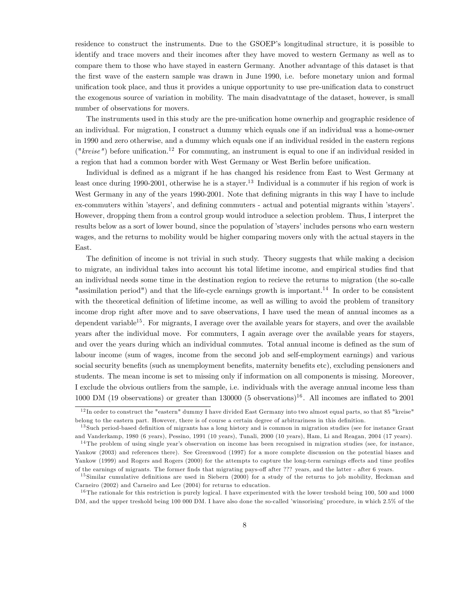residence to construct the instruments. Due to the GSOEP's longitudinal structure, it is possible to identify and trace movers and their incomes after they have moved to western Germany as well as to compare them to those who have stayed in eastern Germany. Another advantage of this dataset is that the Örst wave of the eastern sample was drawn in June 1990, i.e. before monetary union and formal unification took place, and thus it provides a unique opportunity to use pre-unification data to construct the exogenous source of variation in mobility. The main disadvatntage of the dataset, however, is small number of observations for movers.

The instruments used in this study are the pre-unification home ownerhip and geographic residence of an individual. For migration, I construct a dummy which equals one if an individual was a home-owner in 1990 and zero otherwise, and a dummy which equals one if an individual resided in the eastern regions (" $kreise"$ ) before unification.<sup>12</sup> For commuting, an instrument is equal to one if an individual resided in a region that had a common border with West Germany or West Berlin before unification.

Individual is defined as a migrant if he has changed his residence from East to West Germany at least once during 1990-2001, otherwise he is a stayer.<sup>13</sup> Individual is a commuter if his region of work is West Germany in any of the years 1990-2001. Note that defining migrants in this way I have to include ex-commuters within 'stayers', and defining commuters - actual and potential migrants within 'stayers'. However, dropping them from a control group would introduce a selection problem. Thus, I interpret the results below as a sort of lower bound, since the population of 'stayers' includes persons who earn western wages, and the returns to mobility would be higher comparing movers only with the actual stayers in the East.

The definition of income is not trivial in such study. Theory suggests that while making a decision to migrate, an individual takes into account his total lifetime income, and empirical studies Önd that an individual needs some time in the destination region to recieve the returns to migration (the so-calle "assimilation period") and that the life-cycle earnings growth is important.<sup>14</sup> In order to be consistent with the theoretical definition of lifetime income, as well as willing to avoid the problem of transitory income drop right after move and to save observations, I have used the mean of annual incomes as a dependent variable<sup>15</sup>. For migrants, I average over the available years for stayers, and over the available years after the individual move. For commuters, I again average over the available years for stayers, and over the years during which an individual commutes. Total annual income is defined as the sum of labour income (sum of wages, income from the second job and self-employment earnings) and various social security benefits (such as unemployment benefits, maternity benefits etc), excluding pensioners and students. The mean income is set to missing only if information on all components is missing. Moreover, I exclude the obvious outliers from the sample, i.e. individuals with the average annual income less than 1000 DM (19 observations) or greater than 130000 (5 observations)<sup>16</sup>. All incomes are inflated to 2001

 $12$  In order to construct the "eastern" dummy I have divided East Germany into two almost equal parts, so that 85 "kreise" belong to the eastern part. However, there is of course a certain degree of arbitrariness in this definition.

<sup>&</sup>lt;sup>13</sup> Such period-based definition of migrants has a long history and is common in migration studies (see for instance Grant and Vanderkamp, 1980 (6 years), Pessino, 1991 (10 years), Tunali, 2000 (10 years), Ham, Li and Reagan, 2004 (17 years).

 $14$ The problem of using single year's observation on income has been recognised in migration studies (see, for instance, Yankow (2003) and references there). See Greenwood (1997) for a more complete discussion on the potential biases and Yankow (1999) and Rogers and Rogers (2000) for the attempts to capture the long-term earnings effects and time profiles of the earnings of migrants. The former finds that migrating pays-off after ??? years, and the latter - after 6 years.

 $15$  Similar cumulative definitions are used in Siebern (2000) for a study of the returns to job mobility, Heckman and Carneiro (2002) and Carneiro and Lee (2004) for returns to education.

 $16$  The rationale for this restriction is purely logical. I have experimented with the lower treshold being 100, 500 and 1000 DM, and the upper treshold being 100 000 DM. I have also done the so-called 'winsorising' procedure, in which 2.5% of the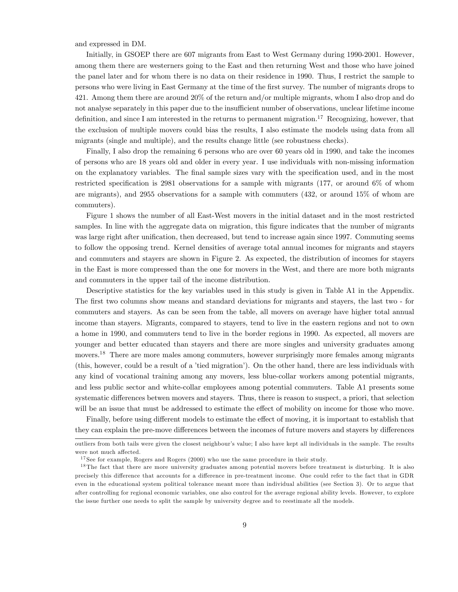and expressed in DM.

Initially, in GSOEP there are 607 migrants from East to West Germany during 1990-2001. However, among them there are westerners going to the East and then returning West and those who have joined the panel later and for whom there is no data on their residence in 1990. Thus, I restrict the sample to persons who were living in East Germany at the time of the first survey. The number of migrants drops to 421. Among them there are around 20% of the return and/or multiple migrants, whom I also drop and do not analyse separately in this paper due to the insufficient number of observations, unclear lifetime income definition, and since I am interested in the returns to permanent migration.<sup>17</sup> Recognizing, however, that the exclusion of multiple movers could bias the results, I also estimate the models using data from all migrants (single and multiple), and the results change little (see robustness checks).

Finally, I also drop the remaining 6 persons who are over 60 years old in 1990, and take the incomes of persons who are 18 years old and older in every year. I use individuals with non-missing information on the explanatory variables. The final sample sizes vary with the specification used, and in the most restricted specification is 2981 observations for a sample with migrants (177, or around  $6\%$  of whom are migrants), and 2955 observations for a sample with commuters (432, or around 15% of whom are commuters).

Figure 1 shows the number of all East-West movers in the initial dataset and in the most restricted samples. In line with the aggregate data on migration, this figure indicates that the number of migrants was large right after unification, then decreased, but tend to increase again since 1997. Commuting seems to follow the opposing trend. Kernel densities of average total annual incomes for migrants and stayers and commuters and stayers are shown in Figure 2. As expected, the distribution of incomes for stayers in the East is more compressed than the one for movers in the West, and there are more both migrants and commuters in the upper tail of the income distribution.

Descriptive statistics for the key variables used in this study is given in Table A1 in the Appendix. The first two columns show means and standard deviations for migrants and stayers, the last two - for commuters and stayers. As can be seen from the table, all movers on average have higher total annual income than stayers. Migrants, compared to stayers, tend to live in the eastern regions and not to own a home in 1990, and commuters tend to live in the border regions in 1990. As expected, all movers are younger and better educated than stayers and there are more singles and university graduates among movers.<sup>18</sup> There are more males among commuters, however surprisingly more females among migrants (this, however, could be a result of a 'tied migration'). On the other hand, there are less individuals with any kind of vocational training among any movers, less blue-collar workers among potential migrants, and less public sector and white-collar employees among potential commuters. Table A1 presents some systematic differences betwen movers and stayers. Thus, there is reason to suspect, a priori, that selection will be an issue that must be addressed to estimate the effect of mobility on income for those who move.

Finally, before using different models to estimate the effect of moving, it is important to establish that they can explain the pre-move differences between the incomes of future movers and stayers by differences

outliers from both tails were given the closest neighbourís value; I also have kept all individuals in the sample. The results were not much affected.

<sup>&</sup>lt;sup>17</sup> See for example, Rogers and Rogers  $(2000)$  who use the same procedure in their study.

<sup>&</sup>lt;sup>18</sup> The fact that there are more university graduates among potential movers before treatment is disturbing. It is also precisely this difference that accounts for a difference in pre-treatment income. One could refer to the fact that in GDR even in the educational system political tolerance meant more than individual abilities (see Section 3). Or to argue that after controlling for regional economic variables, one also control for the average regional ability levels. However, to explore the issue further one needs to split the sample by university degree and to reestimate all the models.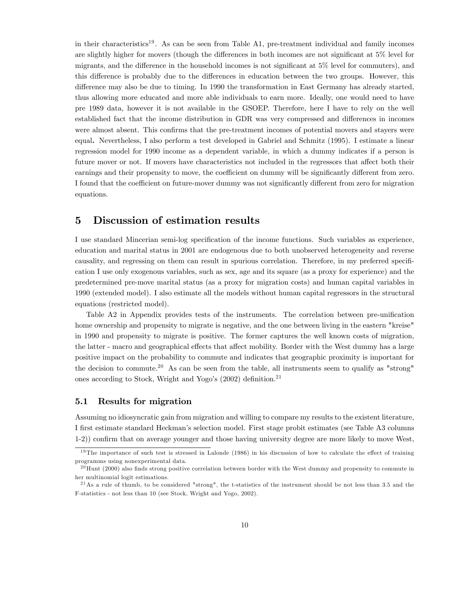in their characteristics<sup>19</sup>. As can be seen from Table A1, pre-treatment individual and family incomes are slightly higher for movers (though the differences in both incomes are not significant at  $5\%$  level for migrants, and the difference in the household incomes is not significant at  $5\%$  level for commuters), and this difference is probably due to the differences in education between the two groups. However, this difference may also be due to timing. In 1990 the transformation in East Germany has already started, thus allowing more educated and more able individuals to earn more. Ideally, one would need to have pre 1989 data, however it is not available in the GSOEP. Therefore, here I have to rely on the well established fact that the income distribution in GDR was very compressed and differences in incomes were almost absent. This confirms that the pre-treatment incomes of potential movers and stayers were equal. Nevertheless, I also perform a test developed in Gabriel and Schmitz (1995). I estimate a linear regression model for 1990 income as a dependent variable, in which a dummy indicates if a person is future mover or not. If movers have characteristics not included in the regressors that affect both their earnings and their propensity to move, the coefficient on dummy will be significantly different from zero. I found that the coefficient on future-mover dummy was not significantly different from zero for migration equations.

### 5 Discussion of estimation results

I use standard Mincerian semi-log specification of the income functions. Such variables as experience, education and marital status in 2001 are endogenous due to both unobserved heterogeneity and reverse causality, and regressing on them can result in spurious correlation. Therefore, in my preferred specification I use only exogenous variables, such as sex, age and its square (as a proxy for experience) and the predetermined pre-move marital status (as a proxy for migration costs) and human capital variables in 1990 (extended model). I also estimate all the models without human capital regressors in the structural equations (restricted model).

Table A2 in Appendix provides tests of the instruments. The correlation between pre-unification home ownership and propensity to migrate is negative, and the one between living in the eastern "kreise" in 1990 and propensity to migrate is positive. The former captures the well known costs of migration, the latter - macro and geographical effects that affect mobility. Border with the West dummy has a large positive impact on the probability to commute and indicates that geographic proximity is important for the decision to commute.<sup>20</sup> As can be seen from the table, all instruments seem to qualify as "strong" ones according to Stock, Wright and Yogo's  $(2002)$  definition.<sup>21</sup>

#### 5.1 Results for migration

Assuming no idiosyncratic gain from migration and willing to compare my results to the existent literature, I Örst estimate standard Heckmanís selection model. First stage probit estimates (see Table A3 columns 1-2)) confirm that on average younger and those having university degree are more likely to move West,

 $19$ The importance of such test is stressed in Lalonde (1986) in his discussion of how to calculate the effect of training programms using nonexperimental data.

 $^{20}$ Hunt (2000) also finds strong positive correlation between border with the West dummy and propensity to commute in her multinomial logit estimations.

 $^{21}$ As a rule of thumb, to be considered "strong", the t-statistics of the instrument should be not less than 3.5 and the F-statistics - not less than 10 (see Stock, Wright and Yogo, 2002).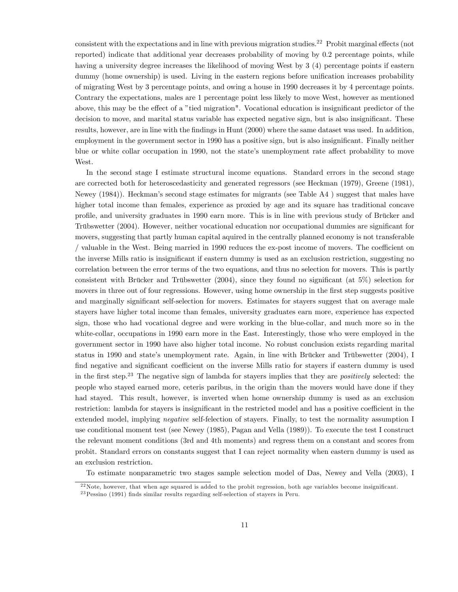consistent with the expectations and in line with previous migration studies.<sup>22</sup> Probit marginal effects (not reported) indicate that additional year decreases probability of moving by 0.2 percentage points, while having a university degree increases the likelihood of moving West by 3 (4) percentage points if eastern dummy (home ownership) is used. Living in the eastern regions before unification increases probability of migrating West by 3 percentage points, and owing a house in 1990 decreases it by 4 percentage points. Contrary the expectations, males are 1 percentage point less likely to move West, however as mentioned above, this may be the effect of a "tied migration". Vocational education is insignificant predictor of the decision to move, and marital status variable has expected negative sign, but is also insignificant. These results, however, are in line with the findings in Hunt (2000) where the same dataset was used. In addition, employment in the government sector in 1990 has a positive sign, but is also insignificant. Finally neither blue or white collar occupation in 1990, not the state's unemployment rate affect probability to move West.

In the second stage I estimate structural income equations. Standard errors in the second stage are corrected both for heteroscedasticity and generated regressors (see Heckman (1979), Greene (1981), Newey (1984)). Heckmanís second stage estimates for migrants (see Table A4 ) suggest that males have higher total income than females, experience as proxied by age and its square has traditional concave profile, and university graduates in 1990 earn more. This is in line with previous study of Brücker and Trübswetter (2004). However, neither vocational education nor occupational dummies are significant for movers, suggesting that partly human capital aquired in the centrally planned economy is not transferable / valuable in the West. Being married in 1990 reduces the ex-post income of movers. The coefficient on the inverse Mills ratio is insignificant if eastern dummy is used as an exclusion restriction, suggesting no correlation between the error terms of the two equations, and thus no selection for movers. This is partly consistent with Brücker and Trübswetter  $(2004)$ , since they found no significant (at 5%) selection for movers in three out of four regressions. However, using home ownership in the first step suggests positive and marginally significant self-selection for movers. Estimates for stayers suggest that on average male stayers have higher total income than females, university graduates earn more, experience has expected sign, those who had vocational degree and were working in the blue-collar, and much more so in the white-collar, occupations in 1990 earn more in the East. Interestingly, those who were employed in the government sector in 1990 have also higher total income. No robust conclusion exists regarding marital status in 1990 and state's unemployment rate. Again, in line with Brücker and Trübswetter  $(2004)$ , I find negative and significant coefficient on the inverse Mills ratio for stayers if eastern dummy is used in the first step.<sup>23</sup> The negative sign of lambda for stayers implies that they are *positively* selected: the people who stayed earned more, ceteris paribus, in the origin than the movers would have done if they had stayed. This result, however, is inverted when home ownership dummy is used as an exclusion restriction: lambda for stayers is insignificant in the restricted model and has a positive coefficient in the extended model, implying negative self-felection of stayers. Finally, to test the normality assumption I use conditional moment test (see Newey (1985), Pagan and Vella (1989)). To execute the test I construct the relevant moment conditions (3rd and 4th moments) and regress them on a constant and scores from probit. Standard errors on constants suggest that I can reject normality when eastern dummy is used as an exclusion restriction.

To estimate nonparametric two stages sample selection model of Das, Newey and Vella (2003), I

 $22$  Note, however, that when age squared is added to the probit regression, both age variables become insignificant.

 $23$  Pessino (1991) finds similar results regarding self-selection of stayers in Peru.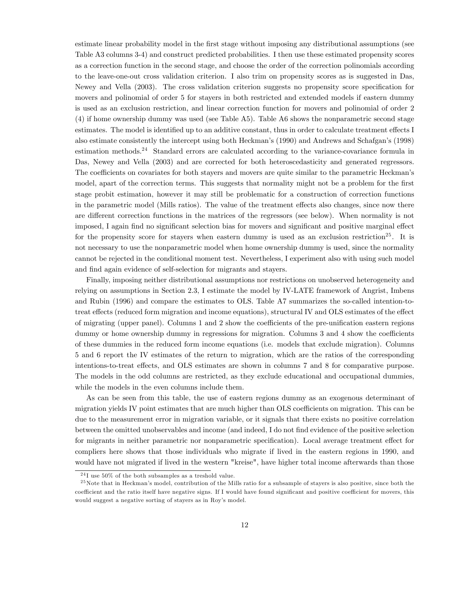estimate linear probability model in the first stage without imposing any distributional assumptions (see Table A3 columns 3-4) and construct predicted probabilities. I then use these estimated propensity scores as a correction function in the second stage, and choose the order of the correction polinomials according to the leave-one-out cross validation criterion. I also trim on propensity scores as is suggested in Das, Newey and Vella (2003). The cross validation criterion suggests no propensity score specification for movers and polinomial of order 5 for stayers in both restricted and extended models if eastern dummy is used as an exclusion restriction, and linear correction function for movers and polinomial of order 2 (4) if home ownership dummy was used (see Table A5). Table A6 shows the nonparametric second stage estimates. The model is identified up to an additive constant, thus in order to calculate treatment effects I also estimate consistently the intercept using both Heckman's (1990) and Andrews and Schafgan's (1998) estimation methods.<sup>24</sup> Standard errors are calculated according to the variance-covariance formula in Das, Newey and Vella (2003) and are corrected for both heteroscedasticity and generated regressors. The coefficients on covariates for both stayers and movers are quite similar to the parametric Heckman's model, apart of the correction terms. This suggests that normality might not be a problem for the first stage probit estimation, however it may still be problematic for a construction of correction functions in the parametric model (Mills ratios). The value of the treatment effects also changes, since now there are different correction functions in the matrices of the regressors (see below). When normality is not imposed, I again find no significant selection bias for movers and significant and positive marginal effect for the propensity score for stayers when eastern dummy is used as an exclusion restriction<sup>25</sup>. It is not necessary to use the nonparametric model when home ownership dummy is used, since the normality cannot be rejected in the conditional moment test. Nevertheless, I experiment also with using such model and find again evidence of self-selection for migrants and stayers.

Finally, imposing neither distributional assumptions nor restrictions on unobserved heterogeneity and relying on assumptions in Section 2.3, I estimate the model by IV-LATE framework of Angrist, Imbens and Rubin (1996) and compare the estimates to OLS. Table A7 summarizes the so-called intention-totreat effects (reduced form migration and income equations), structural IV and OLS estimates of the effect of migrating (upper panel). Columns  $1$  and  $2$  show the coefficients of the pre-unification eastern regions dummy or home ownership dummy in regressions for migration. Columns 3 and 4 show the coefficients of these dummies in the reduced form income equations (i.e. models that exclude migration). Columns 5 and 6 report the IV estimates of the return to migration, which are the ratios of the corresponding intentions-to-treat effects, and OLS estimates are shown in columns 7 and 8 for comparative purpose. The models in the odd columns are restricted, as they exclude educational and occupational dummies, while the models in the even columns include them.

As can be seen from this table, the use of eastern regions dummy as an exogenous determinant of migration yields IV point estimates that are much higher than OLS coefficients on migration. This can be due to the measurement error in migration variable, or it signals that there exists no positive correlation between the omitted unobservables and income (and indeed, I do not find evidence of the positive selection for migrants in neither parametric nor nonparametric specification). Local average treatment effect for compliers here shows that those individuals who migrate if lived in the eastern regions in 1990, and would have not migrated if lived in the western "kreise", have higher total income afterwards than those

 $^{24}$ I use 50% of the both subsamples as a treshold value.

 $25$  Note that in Heckman's model, contribution of the Mills ratio for a subsample of stayers is also positive, since both the coefficient and the ratio itself have negative signs. If I would have found significant and positive coefficient for movers, this would suggest a negative sorting of stayers as in Roy's model.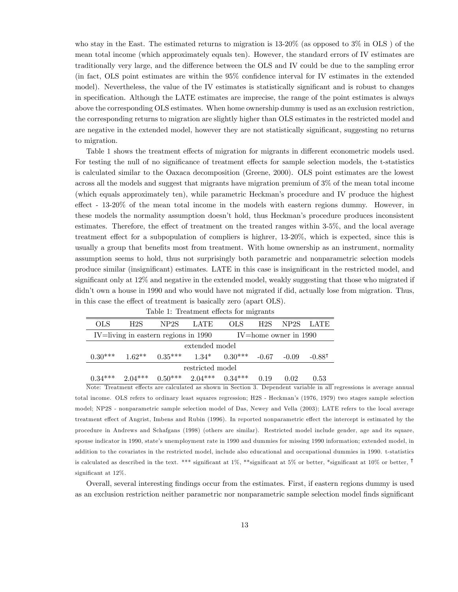who stay in the East. The estimated returns to migration is 13-20% (as opposed to 3% in OLS ) of the mean total income (which approximately equals ten). However, the standard errors of IV estimates are traditionally very large, and the difference between the OLS and IV could be due to the sampling error (in fact, OLS point estimates are within the 95% confidence interval for IV estimates in the extended model). Nevertheless, the value of the IV estimates is statistically significant and is robust to changes in specification. Although the LATE estimates are imprecise, the range of the point estimates is always above the corresponding OLS estimates. When home ownership dummy is used as an exclusion restriction, the corresponding returns to migration are slightly higher than OLS estimates in the restricted model and are negative in the extended model, however they are not statistically significant, suggesting no returns to migration.

Table 1 shows the treatment effects of migration for migrants in different econometric models used. For testing the null of no significance of treatment effects for sample selection models, the t-statistics is calculated similar to the Oaxaca decomposition (Greene, 2000). OLS point estimates are the lowest across all the models and suggest that migrants have migration premium of 3% of the mean total income (which equals approximately ten), while parametric Heckmanís procedure and IV produce the highest effect -  $13{\text -}20\%$  of the mean total income in the models with eastern regions dummy. However, in these models the normality assumption doesn't hold, thus Heckman's procedure produces inconsistent estimates. Therefore, the effect of treatment on the treated ranges within 3-5%, and the local average treatment effect for a subpopulation of compliers is highrer, 13-20%, which is expected, since this is usually a group that benefits most from treatment. With home ownership as an instrument, normality assumption seems to hold, thus not surprisingly both parametric and nonparametric selection models produce similar (insignificant) estimates. LATE in this case is insignificant in the restricted model, and significant only at 12% and negative in the extended model, weakly suggesting that those who migrated if didn't own a house in 1990 and who would have not migrated if did, actually lose from migration. Thus, in this case the effect of treatment is basically zero (apart OLS).

| <b>OLS</b>       | H <sub>2</sub> S | NP <sub>2S</sub>                                              | <b>LATE</b>    | <b>OLS</b> | H2S     | NP2S LATE                 |          |  |  |
|------------------|------------------|---------------------------------------------------------------|----------------|------------|---------|---------------------------|----------|--|--|
|                  |                  | IV=living in eastern regions in 1990                          |                |            |         | $IV = home$ owner in 1990 |          |  |  |
|                  |                  |                                                               | extended model |            |         |                           |          |  |  |
|                  |                  | $0.30^{***}$ $1.62^{**}$ $0.35^{***}$ $1.34^{*}$ $0.30^{***}$ |                |            | $-0.67$ | $-0.09$                   | $-0.887$ |  |  |
| restricted model |                  |                                                               |                |            |         |                           |          |  |  |
|                  |                  | $0.34***$ $2.04***$ $0.50***$ $2.04***$ $0.34***$             |                |            | 0.19    | 0.02                      | 0.53     |  |  |

Table 1: Treatment effects for migrants

Ë

Note: Treatment effects are calculated as shown in Section 3. Dependent variable in all regressions is average annual total income. OLS refers to ordinary least squares regression; H2S - Heckmanís (1976, 1979) two stages sample selection model; NP2S - nonparametric sample selection model of Das, Newey and Vella (2003); LATE refers to the local average treatment effect of Angrist, Imbens and Rubin (1996). In reported nonparametric effect the intercept is estimated by the procedure in Andrews and Schafgans (1998) (others are similar). Restricted model include gender, age and its square, spouse indicator in 1990, state's unemployment rate in 1990 and dummies for missing 1990 information; extended model, in addition to the covariates in the restricted model, include also educational and occupational dummies in 1990. t-statistics is calculated as described in the text. \*\*\* significant at 1%, \*\*significant at 5% or better, \*significant at 10% or better,  $\mathsf{F}$ significant at  $12\%$ .

Overall, several interesting Öndings occur from the estimates. First, if eastern regions dummy is used as an exclusion restriction neither parametric nor nonparametric sample selection model finds significant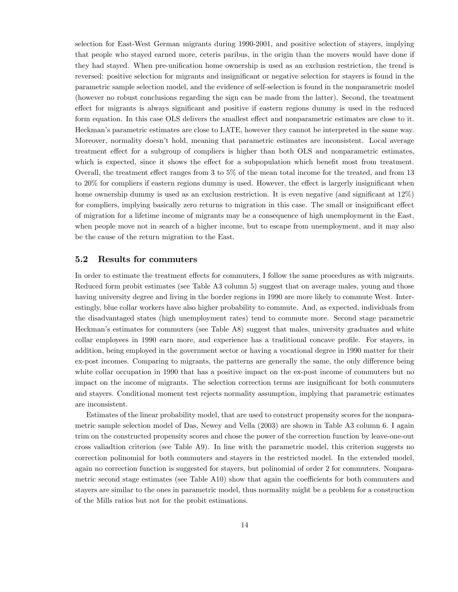selection for East-West German migrants during 1990-2001, and positive selection of stayers, implying that people who stayed earned more, ceteris paribus, in the origin than the movers would have done if they had stayed. When pre-unification home ownership is used as an exclusion restriction, the trend is reversed: positive selection for migrants and insignificant or negative selection for stayers is found in the parametric sample selection model, and the evidence of self-selection is found in the nonparametric model (however no robust conclusions regarding the sign can be made from the latter). Second, the treatment effect for migrants is always significant and positive if eastern regions dummy is used in the reduced form equation. In this case OLS delivers the smallest effect and nonparametric estimates are close to it. Heckmanís parametric estimates are close to LATE, however they cannot be interpreted in the same way. Moreover, normality doesn't hold, meaning that parametric estimates are inconsistent. Local average treatment effect for a subgroup of compliers is higher than both OLS and nonparametric estimates, which is expected, since it shows the effect for a subpopulation which benefit most from treatment. Overall, the treatment effect ranges from  $3 \text{ to } 5\%$  of the mean total income for the treated, and from 13 to 20% for compliers if eastern regions dummy is used. However, the effect is largerly insignificant when home ownership dummy is used as an exclusion restriction. It is even negative (and significant at  $12\%$ ) for compliers, implying basically zero returns to migration in this case. The small or insignificant effect of migration for a lifetime income of migrants may be a consequence of high unemployment in the East, when people move not in search of a higher income, but to escape from unemployment, and it may also be the cause of the return migration to the East.

#### 5.2 Results for commuters

In order to estimate the treatment effects for commuters, I follow the same procedures as with migrants. Reduced form probit estimates (see Table A3 column 5) suggest that on average males, young and those having university degree and living in the border regions in 1990 are more likely to commute West. Interestingly, blue collar workers have also higher probability to commute. And, as expected, individuals from the disadvantaged states (high unemployment rates) tend to commute more. Second stage parametric Heckman's estimates for commuters (see Table A8) suggest that males, university graduates and white collar employees in 1990 earn more, and experience has a traditional concave profile. For stayers, in addition, being employed in the government sector or having a vocational degree in 1990 matter for their ex-post incomes. Comparing to migrants, the patterns are generally the same, the only difference being white collar occupation in 1990 that has a positive impact on the ex-post income of commuters but no impact on the income of migrants. The selection correction terms are insignificant for both commuters and stayers. Conditional moment test rejects normality assumption, implying that parametric estimates are inconsistent.

Estimates of the linear probability model, that are used to construct propensity scores for the nonparametric sample selection model of Das, Newey and Vella (2003) are shown in Table A3 column 6. I again trim on the constructed propensity scores and chose the power of the correction function by leave-one-out cross valiadtion criterion (see Table A9). In line with the parametric model, this criterion suggests no correction polinomial for both commuters and stayers in the restricted model. In the extended model, again no correction function is suggested for stayers, but polinomial of order 2 for commuters. Nonparametric second stage estimates (see Table  $A10$ ) show that again the coefficients for both commuters and stayers are similar to the ones in parametric model, thus normality might be a problem for a construction of the Mills ratios but not for the probit estimations.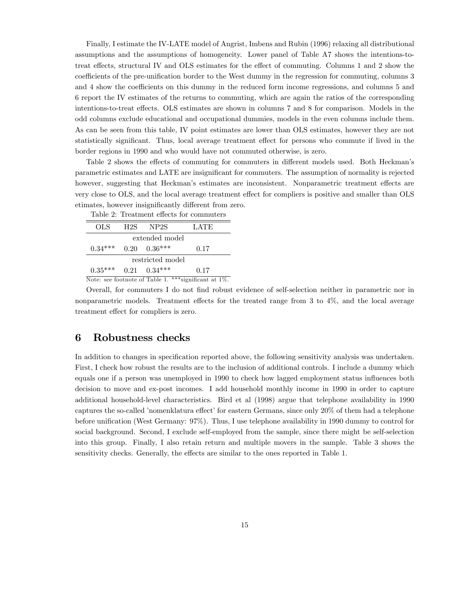Finally, I estimate the IV-LATE model of Angrist, Imbens and Rubin (1996) relaxing all distributional assumptions and the assumptions of homogeneity. Lower panel of Table A7 shows the intentions-totreat effects, structural IV and OLS estimates for the effect of commuting. Columns 1 and 2 show the coefficients of the pre-unification border to the West dummy in the regression for commuting, columns 3 and 4 show the coefficients on this dummy in the reduced form income regressions, and columns 5 and 6 report the IV estimates of the returns to commuting, which are again the ratios of the corresponding intentions-to-treat effects. OLS estimates are shown in columns 7 and 8 for comparison. Models in the odd columns exclude educational and occupational dummies, models in the even columns include them. As can be seen from this table, IV point estimates are lower than OLS estimates, however they are not statistically significant. Thus, local average treatment effect for persons who commute if lived in the border regions in 1990 and who would have not commuted otherwise, is zero.

Table 2 shows the effects of commuting for commuters in different models used. Both Heckman's parametric estimates and LATE are insignificant for commuters. The assumption of normality is rejected however, suggesting that Heckman's estimates are inconsistent. Nonparametric treatment effects are very close to OLS, and the local average treatment effect for compliers is positive and smaller than OLS etimates, however insignificantly different from zero.

| OLS              | H2S | NP2S                 | <b>LATE</b> |  |  |  |  |  |
|------------------|-----|----------------------|-------------|--|--|--|--|--|
| extended model   |     |                      |             |  |  |  |  |  |
| $0.34***$        |     | $0.20 \quad 0.36***$ | 0.17        |  |  |  |  |  |
| restricted model |     |                      |             |  |  |  |  |  |
| $0.35***$        |     | $0.21 \quad 0.34***$ | 0.17        |  |  |  |  |  |
|                  |     |                      |             |  |  |  |  |  |

Table 2: Treatment effects for commuters

Note: see footnote of Table 1. \*\*\* significant at  $1\%$ .

Overall, for commuters I do not Önd robust evidence of self-selection neither in parametric nor in nonparametric models. Treatment effects for the treated range from  $3$  to  $4\%$ , and the local average treatment effect for compliers is zero.

#### 6 Robustness checks

In addition to changes in specification reported above, the following sensitivity analysis was undertaken. First, I check how robust the results are to the inclusion of additional controls. I include a dummy which equals one if a person was unemployed in 1990 to check how lagged employment status ináuences both decision to move and ex-post incomes. I add household monthly income in 1990 in order to capture additional household-level characteristics. Bird et al (1998) argue that telephone availability in 1990 captures the so-called 'nomenklatura effect' for eastern Germans, since only 20% of them had a telephone before unification (West Germany: 97%). Thus, I use telephone availability in 1990 dummy to control for social background. Second, I exclude self-employed from the sample, since there might be self-selection into this group. Finally, I also retain return and multiple movers in the sample. Table 3 shows the sensitivity checks. Generally, the effects are similar to the ones reported in Table 1.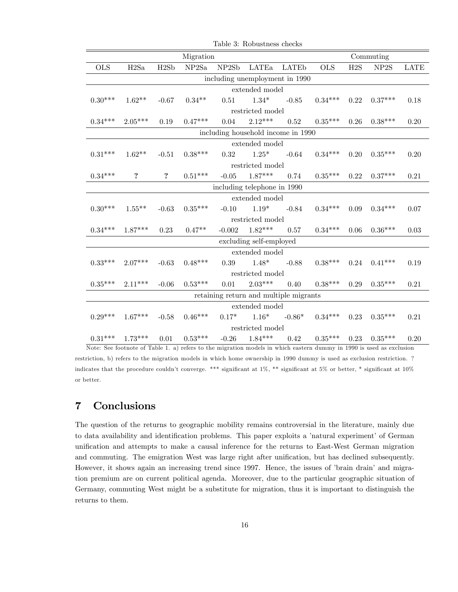|                                    |                                |                   | Migration |         |                                        |                         |            |      | Commuting         |             |  |
|------------------------------------|--------------------------------|-------------------|-----------|---------|----------------------------------------|-------------------------|------------|------|-------------------|-------------|--|
| <b>OLS</b>                         | H2Sa                           | H2Sb              | NP2Sa     | NP2Sb   | LATEa                                  | <b>LATE<sub>b</sub></b> | <b>OLS</b> | H2S  | NP <sub>2</sub> S | <b>LATE</b> |  |
|                                    | including unemployment in 1990 |                   |           |         |                                        |                         |            |      |                   |             |  |
|                                    |                                |                   |           |         | extended model                         |                         |            |      |                   |             |  |
| $0.30***$                          | $1.62**$                       | $-0.67$           | $0.34**$  | 0.51    | $1.34*$                                | $-0.85$                 | $0.34***$  | 0.22 | $0.37***$         | 0.18        |  |
|                                    |                                |                   |           |         | restricted model                       |                         |            |      |                   |             |  |
| $0.34***$                          | $2.05***$                      | 0.19              | $0.47***$ | 0.04    | $2.12***$                              | 0.52                    | $0.35***$  | 0.26 | $0.38***$         | 0.20        |  |
| including household income in 1990 |                                |                   |           |         |                                        |                         |            |      |                   |             |  |
|                                    |                                |                   |           |         | extended model                         |                         |            |      |                   |             |  |
| $0.31***$                          | $1.62**$                       | $-0.51$           | $0.38***$ | 0.32    | $1.25*$                                | $-0.64$                 | $0.34***$  | 0.20 | $0.35***$         | 0.20        |  |
| restricted model                   |                                |                   |           |         |                                        |                         |            |      |                   |             |  |
| $0.34***$                          | ?                              | $\ddot{\text{?}}$ | $0.51***$ | $-0.05$ | $1.87***$                              | 0.74                    | $0.35***$  | 0.22 | $0.37***$         | 0.21        |  |
| including telephone in 1990        |                                |                   |           |         |                                        |                         |            |      |                   |             |  |
|                                    |                                |                   |           |         | extended model                         |                         |            |      |                   |             |  |
| $0.30***$                          | $1.55***$                      | $-0.63$           | $0.35***$ | $-0.10$ | $1.19*$                                | $-0.84$                 | $0.34***$  | 0.09 | $0.34***$         | 0.07        |  |
|                                    |                                |                   |           |         | restricted model                       |                         |            |      |                   |             |  |
| $0.34***$                          | $1.87***$                      | 0.23              | $0.47**$  |         | $-0.002$ $1.82***$                     | 0.57                    | $0.34***$  | 0.06 | $0.36***$         | 0.03        |  |
|                                    |                                |                   |           |         | excluding self-employed                |                         |            |      |                   |             |  |
|                                    |                                |                   |           |         | extended model                         |                         |            |      |                   |             |  |
| $0.33***$                          | $2.07***$                      | $-0.63$           | $0.48***$ | 0.39    | $1.48*$                                | $-0.88$                 | $0.38***$  | 0.24 | $0.41***$         | 0.19        |  |
|                                    |                                |                   |           |         | restricted model                       |                         |            |      |                   |             |  |
| $0.35***$                          | $2.11***$                      | $-0.06$           | $0.53***$ | 0.01    | $2.03***$                              | 0.40                    | $0.38***$  | 0.29 | $0.35***$         | 0.21        |  |
|                                    |                                |                   |           |         | retaining return and multiple migrants |                         |            |      |                   |             |  |
|                                    |                                |                   |           |         | extended model                         |                         |            |      |                   |             |  |
| $0.29***$                          | $1.67***$                      | $-0.58$           | $0.46***$ |         | $0.17^*$ $1.16^*$                      | $-0.86*$                | $0.34***$  | 0.23 | $0.35***$         | 0.21        |  |
|                                    |                                |                   |           |         | restricted model                       |                         |            |      |                   |             |  |
| $0.31***$                          | $1.73***$                      | 0.01              | $0.53***$ |         | $-0.26$ $1.84***$                      | 0.42                    | $0.35***$  | 0.23 | $0.35***$         | 0.20        |  |

Table 3: Robustness checks

Note: See footnote of Table 1. a) refers to the migration models in which eastern dummy in 1990 is used as exclusion restriction, b) refers to the migration models in which home ownership in 1990 dummy is used as exclusion restriction. ? indicates that the procedure couldn't converge. \*\*\* significant at 1%, \*\* significant at 5% or better, \* significant at 10% or better.

### 7 Conclusions

The question of the returns to geographic mobility remains controversial in the literature, mainly due to data availability and identification problems. This paper exploits a 'natural experiment' of German unification and attempts to make a causal inference for the returns to East-West German migration and commuting. The emigration West was large right after unification, but has declined subsequently. However, it shows again an increasing trend since 1997. Hence, the issues of 'brain drain' and migration premium are on current political agenda. Moreover, due to the particular geographic situation of Germany, commuting West might be a substitute for migration, thus it is important to distinguish the returns to them.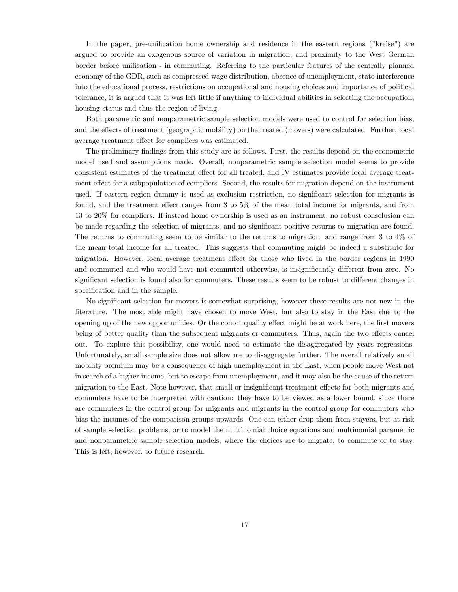In the paper, pre-unification home ownership and residence in the eastern regions ("kreise") are argued to provide an exogenous source of variation in migration, and proximity to the West German border before unification - in commuting. Referring to the particular features of the centrally planned economy of the GDR, such as compressed wage distribution, absence of unemployment, state interference into the educational process, restrictions on occupational and housing choices and importance of political tolerance, it is argued that it was left little if anything to individual abilities in selecting the occupation, housing status and thus the region of living.

Both parametric and nonparametric sample selection models were used to control for selection bias, and the effects of treatment (geographic mobility) on the treated (movers) were calculated. Further, local average treatment effect for compliers was estimated.

The preliminary findings from this study are as follows. First, the results depend on the econometric model used and assumptions made. Overall, nonparametric sample selection model seems to provide consistent estimates of the treatment effect for all treated, and IV estimates provide local average treatment effect for a subpopulation of compliers. Second, the results for migration depend on the instrument used. If eastern region dummy is used as exclusion restriction, no significant selection for migrants is found, and the treatment effect ranges from 3 to  $5\%$  of the mean total income for migrants, and from 13 to 20% for compliers. If instead home ownership is used as an instrument, no robust consclusion can be made regarding the selection of migrants, and no significant positive returns to migration are found. The returns to commuting seem to be similar to the returns to migration, and range from 3 to 4% of the mean total income for all treated. This suggests that commuting might be indeed a substitute for migration. However, local average treatment effect for those who lived in the border regions in 1990 and commuted and who would have not commuted otherwise, is insignificantly different from zero. No significant selection is found also for commuters. These results seem to be robust to different changes in specification and in the sample.

No significant selection for movers is somewhat surprising, however these results are not new in the literature. The most able might have chosen to move West, but also to stay in the East due to the opening up of the new opportunities. Or the cohort quality effect might be at work here, the first movers being of better quality than the subsequent migrants or commuters. Thus, again the two effects cancel out. To explore this possibility, one would need to estimate the disaggregated by years regressions. Unfortunately, small sample size does not allow me to disaggregate further. The overall relatively small mobility premium may be a consequence of high unemployment in the East, when people move West not in search of a higher income, but to escape from unemployment, and it may also be the cause of the return migration to the East. Note however, that small or insignificant treatment effects for both migrants and commuters have to be interpreted with caution: they have to be viewed as a lower bound, since there are commuters in the control group for migrants and migrants in the control group for commuters who bias the incomes of the comparison groups upwards. One can either drop them from stayers, but at risk of sample selection problems, or to model the multinomial choice equations and multinomial parametric and nonparametric sample selection models, where the choices are to migrate, to commute or to stay. This is left, however, to future research.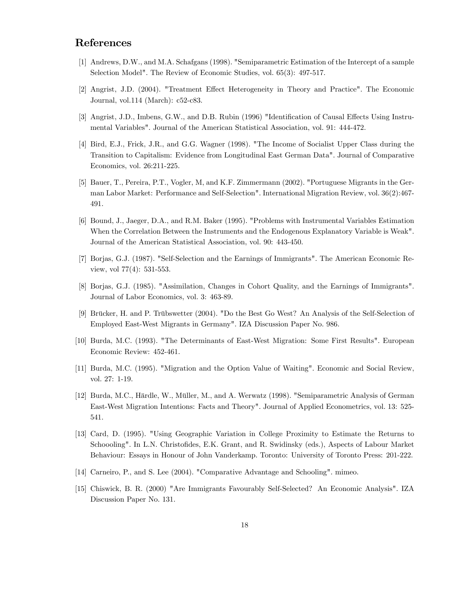### References

- [1] Andrews, D.W., and M.A. Schafgans (1998). "Semiparametric Estimation of the Intercept of a sample Selection Model". The Review of Economic Studies, vol. 65(3): 497-517.
- [2] Angrist, J.D. (2004). "Treatment Effect Heterogeneity in Theory and Practice". The Economic Journal, vol.114 (March): c52-c83.
- [3] Angrist, J.D., Imbens, G.W., and D.B. Rubin (1996) "Identification of Causal Effects Using Instrumental Variables". Journal of the American Statistical Association, vol. 91: 444-472.
- [4] Bird, E.J., Frick, J.R., and G.G. Wagner (1998). "The Income of Socialist Upper Class during the Transition to Capitalism: Evidence from Longitudinal East German Data". Journal of Comparative Economics, vol. 26:211-225.
- [5] Bauer, T., Pereira, P.T., Vogler, M, and K.F. Zimmermann (2002). "Portuguese Migrants in the German Labor Market: Performance and Self-Selection". International Migration Review, vol. 36(2):467- 491.
- [6] Bound, J., Jaeger, D.A., and R.M. Baker (1995). "Problems with Instrumental Variables Estimation When the Correlation Between the Instruments and the Endogenous Explanatory Variable is Weak". Journal of the American Statistical Association, vol. 90: 443-450.
- [7] Borjas, G.J. (1987). "Self-Selection and the Earnings of Immigrants". The American Economic Review, vol 77(4): 531-553.
- [8] Borjas, G.J. (1985). "Assimilation, Changes in Cohort Quality, and the Earnings of Immigrants". Journal of Labor Economics, vol. 3: 463-89.
- [9] Brücker, H. and P. Trübswetter (2004). "Do the Best Go West? An Analysis of the Self-Selection of Employed East-West Migrants in Germany". IZA Discussion Paper No. 986.
- [10] Burda, M.C. (1993). "The Determinants of East-West Migration: Some First Results". European Economic Review: 452-461.
- [11] Burda, M.C. (1995). "Migration and the Option Value of Waiting". Economic and Social Review, vol. 27: 1-19.
- [12] Burda, M.C., Härdle, W., Müller, M., and A. Werwatz (1998). "Semiparametric Analysis of German East-West Migration Intentions: Facts and Theory". Journal of Applied Econometrics, vol. 13: 525- 541.
- [13] Card, D. (1995). "Using Geographic Variation in College Proximity to Estimate the Returns to Schoooling". In L.N. Christofides, E.K. Grant, and R. Swidinsky (eds.), Aspects of Labour Market Behaviour: Essays in Honour of John Vanderkamp. Toronto: University of Toronto Press: 201-222.
- [14] Carneiro, P., and S. Lee (2004). "Comparative Advantage and Schooling". mimeo.
- [15] Chiswick, B. R. (2000) "Are Immigrants Favourably Self-Selected? An Economic Analysis". IZA Discussion Paper No. 131.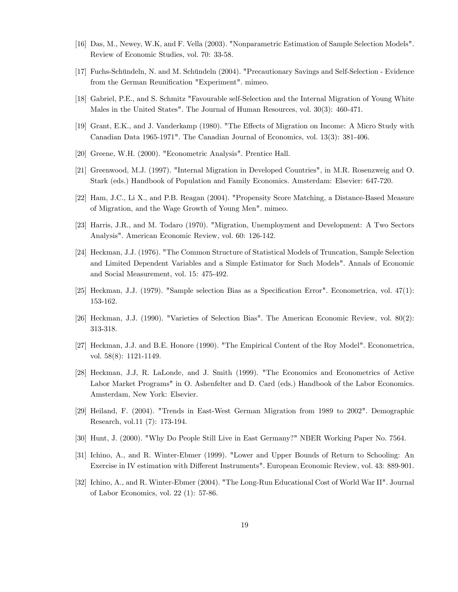- [16] Das, M., Newey, W.K, and F. Vella (2003). "Nonparametric Estimation of Sample Selection Models". Review of Economic Studies, vol. 70: 33-58.
- [17] Fuchs-Schündeln, N. and M. Schündeln (2004). "Precautionary Savings and Self-Selection Evidence from the German Reunification "Experiment". mimeo.
- [18] Gabriel, P.E., and S. Schmitz "Favourable self-Selection and the Internal Migration of Young White Males in the United States". The Journal of Human Resources, vol. 30(3): 460-471.
- [19] Grant, E.K., and J. Vanderkamp (1980). "The Effects of Migration on Income: A Micro Study with Canadian Data 1965-1971". The Canadian Journal of Economics, vol. 13(3): 381-406.
- [20] Greene, W.H. (2000). "Econometric Analysis". Prentice Hall.
- [21] Greenwood, M.J. (1997). "Internal Migration in Developed Countries", in M.R. Rosenzweig and O. Stark (eds.) Handbook of Population and Family Economics. Amsterdam: Elsevier: 647-720.
- [22] Ham, J.C., Li X., and P.B. Reagan (2004). "Propensity Score Matching, a Distance-Based Measure of Migration, and the Wage Growth of Young Men". mimeo.
- [23] Harris, J.R., and M. Todaro (1970). "Migration, Unemployment and Development: A Two Sectors Analysis". American Economic Review, vol. 60: 126-142.
- [24] Heckman, J.J. (1976). "The Common Structure of Statistical Models of Truncation, Sample Selection and Limited Dependent Variables and a Simple Estimator for Such Models". Annals of Economic and Social Measurement, vol. 15: 475-492.
- [25] Heckman, J.J. (1979). "Sample selection Bias as a Specification Error". Econometrica, vol.  $47(1)$ : 153-162.
- [26] Heckman, J.J. (1990). "Varieties of Selection Bias". The American Economic Review, vol. 80(2): 313-318.
- [27] Heckman, J.J. and B.E. Honore (1990). "The Empirical Content of the Roy Model". Econometrica, vol. 58(8): 1121-1149.
- [28] Heckman, J.J, R. LaLonde, and J. Smith (1999). "The Economics and Econometrics of Active Labor Market Programs" in O. Ashenfelter and D. Card (eds.) Handbook of the Labor Economics. Amsterdam, New York: Elsevier.
- [29] Heiland, F. (2004). "Trends in East-West German Migration from 1989 to 2002". Demographic Research, vol.11 (7): 173-194.
- [30] Hunt, J. (2000). "Why Do People Still Live in East Germany?" NBER Working Paper No. 7564.
- [31] Ichino, A., and R. Winter-Ebmer (1999). "Lower and Upper Bounds of Return to Schooling: An Exercise in IV estimation with Different Instruments". European Economic Review, vol. 43: 889-901.
- [32] Ichino, A., and R. Winter-Ebmer (2004). "The Long-Run Educational Cost of World War II". Journal of Labor Economics, vol. 22 (1): 57-86.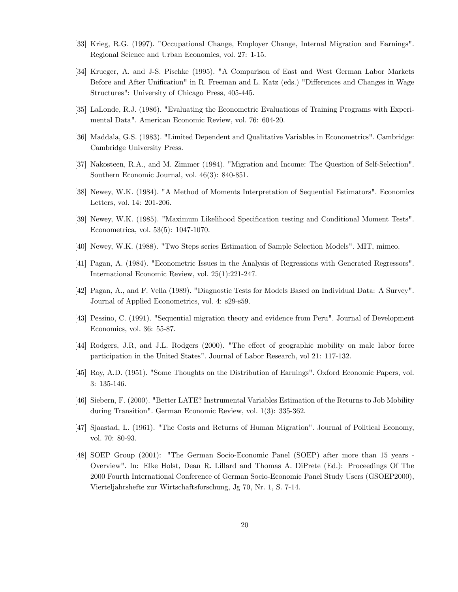- [33] Krieg, R.G. (1997). "Occupational Change, Employer Change, Internal Migration and Earnings". Regional Science and Urban Economics, vol. 27: 1-15.
- [34] Krueger, A. and J-S. Pischke (1995). "A Comparison of East and West German Labor Markets Before and After Unification" in R. Freeman and L. Katz (eds.) "Differences and Changes in Wage Structures": University of Chicago Press, 405-445.
- [35] LaLonde, R.J. (1986). "Evaluating the Econometric Evaluations of Training Programs with Experimental Data". American Economic Review, vol. 76: 604-20.
- [36] Maddala, G.S. (1983). "Limited Dependent and Qualitative Variables in Econometrics". Cambridge: Cambridge University Press.
- [37] Nakosteen, R.A., and M. Zimmer (1984). "Migration and Income: The Question of Self-Selection". Southern Economic Journal, vol. 46(3): 840-851.
- [38] Newey, W.K. (1984). "A Method of Moments Interpretation of Sequential Estimators". Economics Letters, vol. 14: 201-206.
- [39] Newey, W.K. (1985). "Maximum Likelihood Specification testing and Conditional Moment Tests". Econometrica, vol. 53(5): 1047-1070.
- [40] Newey, W.K. (1988). "Two Steps series Estimation of Sample Selection Models". MIT, mimeo.
- [41] Pagan, A. (1984). "Econometric Issues in the Analysis of Regressions with Generated Regressors". International Economic Review, vol. 25(1):221-247.
- [42] Pagan, A., and F. Vella (1989). "Diagnostic Tests for Models Based on Individual Data: A Survey". Journal of Applied Econometrics, vol. 4: s29-s59.
- [43] Pessino, C. (1991). "Sequential migration theory and evidence from Peru". Journal of Development Economics, vol. 36: 55-87.
- [44] Rodgers, J.R, and J.L. Rodgers (2000). "The effect of geographic mobility on male labor force participation in the United States". Journal of Labor Research, vol 21: 117-132.
- [45] Roy, A.D. (1951). "Some Thoughts on the Distribution of Earnings". Oxford Economic Papers, vol. 3: 135-146.
- [46] Siebern, F. (2000). "Better LATE? Instrumental Variables Estimation of the Returns to Job Mobility during Transition". German Economic Review, vol. 1(3): 335-362.
- [47] Sjaastad, L. (1961). "The Costs and Returns of Human Migration". Journal of Political Economy, vol. 70: 80-93.
- [48] SOEP Group (2001): "The German Socio-Economic Panel (SOEP) after more than 15 years Overview". In: Elke Holst, Dean R. Lillard and Thomas A. DiPrete (Ed.): Proceedings Of The 2000 Fourth International Conference of German Socio-Economic Panel Study Users (GSOEP2000), Vierteljahrshefte zur Wirtschaftsforschung, Jg 70, Nr. 1, S. 7-14.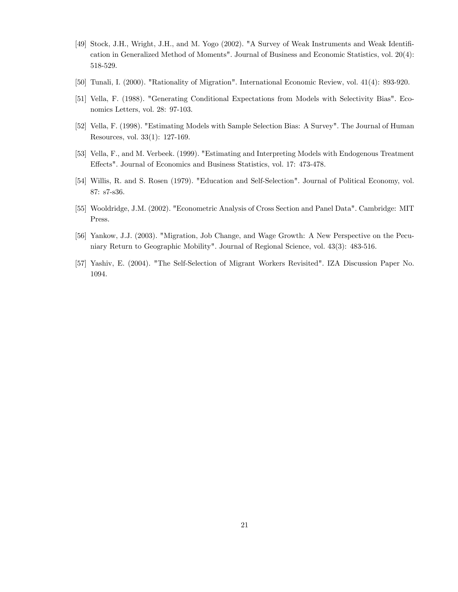- [49] Stock, J.H., Wright, J.H., and M. Yogo (2002). "A Survey of Weak Instruments and Weak Identification in Generalized Method of Moments". Journal of Business and Economic Statistics, vol. 20(4): 518-529.
- [50] Tunali, I. (2000). "Rationality of Migration". International Economic Review, vol. 41(4): 893-920.
- [51] Vella, F. (1988). "Generating Conditional Expectations from Models with Selectivity Bias". Economics Letters, vol. 28: 97-103.
- [52] Vella, F. (1998). "Estimating Models with Sample Selection Bias: A Survey". The Journal of Human Resources, vol. 33(1): 127-169.
- [53] Vella, F., and M. Verbeek. (1999). "Estimating and Interpreting Models with Endogenous Treatment Effects". Journal of Economics and Business Statistics, vol. 17: 473-478.
- [54] Willis, R. and S. Rosen (1979). "Education and Self-Selection". Journal of Political Economy, vol. 87: s7-s36.
- [55] Wooldridge, J.M. (2002). "Econometric Analysis of Cross Section and Panel Data". Cambridge: MIT Press.
- [56] Yankow, J.J. (2003). "Migration, Job Change, and Wage Growth: A New Perspective on the Pecuniary Return to Geographic Mobility". Journal of Regional Science, vol. 43(3): 483-516.
- [57] Yashiv, E. (2004). "The Self-Selection of Migrant Workers Revisited". IZA Discussion Paper No. 1094.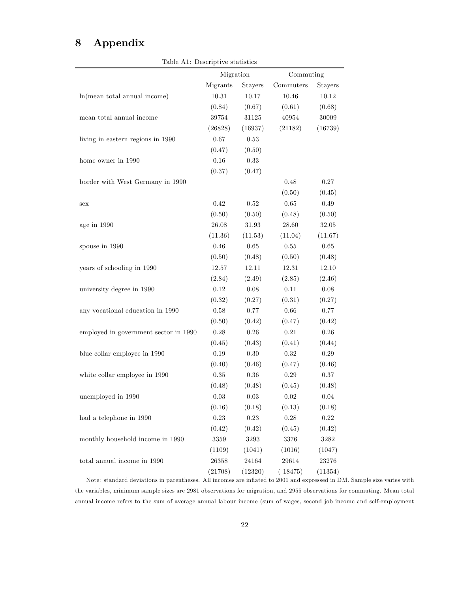## 8 Appendix

Table A1: Descriptive statistics

|                                       | Migration |            | Commuting      |            |
|---------------------------------------|-----------|------------|----------------|------------|
|                                       | Migrants  | Stayers    | Commuters      | Stayers    |
| ln(mean total annual income)          | 10.31     | 10.17      | 10.46          | 10.12      |
|                                       | (0.84)    | (0.67)     | (0.61)         | (0.68)     |
| mean total annual income              | $39754\,$ | $31125\,$  | $\sqrt{40954}$ | 30009      |
|                                       | (26828)   | (16937)    | (21182)        | (16739)    |
| living in eastern regions in 1990     | $0.67\,$  | $\rm 0.53$ |                |            |
|                                       | (0.47)    | (0.50)     |                |            |
| home owner in 1990                    | 0.16      | 0.33       |                |            |
|                                       | (0.37)    | (0.47)     |                |            |
| border with West Germany in 1990      |           |            | 0.48           | $0.27\,$   |
|                                       |           |            | (0.50)         | (0.45)     |
| sex                                   | 0.42      | 0.52       | $0.65\,$       | $0.49\,$   |
|                                       | (0.50)    | (0.50)     | (0.48)         | (0.50)     |
| age in 1990                           | $26.08\,$ | $31.93\,$  | 28.60          | 32.05      |
|                                       | (11.36)   | (11.53)    | (11.04)        | (11.67)    |
| spouse in 1990                        | 0.46      | 0.65       | $0.55\,$       | $\,0.65\,$ |
|                                       | (0.50)    | (0.48)     | (0.50)         | (0.48)     |
| years of schooling in 1990            | $12.57\,$ | 12.11      | $12.31\,$      | 12.10      |
|                                       | (2.84)    | (2.49)     | (2.85)         | (2.46)     |
| university degree in 1990             | 0.12      | 0.08       | 0.11           | $0.08\,$   |
|                                       | (0.32)    | (0.27)     | (0.31)         | (0.27)     |
| any vocational education in 1990      | $0.58\,$  | 0.77       | 0.66           | $0.77\,$   |
|                                       | (0.50)    | (0.42)     | (0.47)         | (0.42)     |
| employed in government sector in 1990 | $0.28\,$  | 0.26       | 0.21           | $0.26\,$   |
|                                       | (0.45)    | (0.43)     | (0.41)         | (0.44)     |
| blue collar employee in 1990          | $0.19\,$  | $0.30\,$   | 0.32           | $0.29\,$   |
|                                       | (0.40)    | (0.46)     | (0.47)         | (0.46)     |
| white collar employee in 1990         | 0.35      | $0.36\,$   | 0.29           | $0.37\,$   |
|                                       | (0.48)    | (0.48)     | (0.45)         | (0.48)     |
| unemployed in 1990                    | 0.03      | 0.03       | 0.02           | 0.04       |
|                                       | (0.16)    | (0.18)     | (0.13)         | (0.18)     |
| had a telephone in 1990               | 0.23      | $0.23\,$   | 0.28           | $0.22\,$   |
|                                       | (0.42)    | (0.42)     | (0.45)         | (0.42)     |
| monthly household income in 1990      | 3359      | 3293       | 3376           | 3282       |
|                                       | (1109)    | (1041)     | (1016)         | (1047)     |
| total annual income in $1990\,$       | 26358     | 24164      | 29614          | 23276      |
|                                       | (21708)   | (12320)    | (18475)        | (11354)    |

Note: standard deviations in parentheses. All incomes are inflated to 2001 and expressed in DM. Sample size varies with the variables, minimum sample sizes are 2981 observations for migration, and 2955 observations for commuting. Mean total annual income refers to the sum of average annual labour income (sum of wages, second job income and self-employment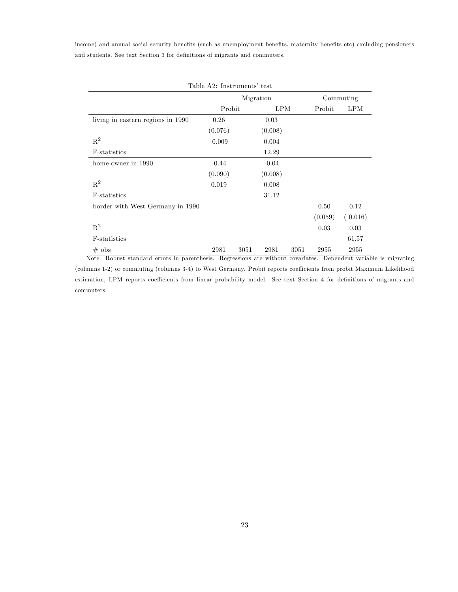income) and annual social security benefits (such as unemployment benefits, maternity benefits etc) excluding pensioners and students. See text Section 3 for definitions of migrants and commuters.

|                                   |         | Migration |            |      | Commuting |            |  |
|-----------------------------------|---------|-----------|------------|------|-----------|------------|--|
|                                   | Probit  |           | <b>LPM</b> |      | Probit    | <b>LPM</b> |  |
| living in eastern regions in 1990 | 0.26    |           | 0.03       |      |           |            |  |
|                                   | (0.076) |           | (0.008)    |      |           |            |  |
| $R^2$                             | 0.009   |           | 0.004      |      |           |            |  |
| F-statistics                      |         |           | 12.29      |      |           |            |  |
| home owner in 1990                | $-0.44$ |           | $-0.04$    |      |           |            |  |
|                                   | (0.090) |           | (0.008)    |      |           |            |  |
| $\mathbf{R}^2$                    | 0.019   |           | 0.008      |      |           |            |  |
| F-statistics                      |         |           | 31.12      |      |           |            |  |
| border with West Germany in 1990  |         |           |            |      | 0.50      | 0.12       |  |
|                                   |         |           |            |      | (0.059)   | (0.016)    |  |
| $R^2$                             |         |           |            |      | 0.03      | 0.03       |  |
| F-statistics                      |         |           |            |      |           | 61.57      |  |
| $#$ obs                           | 2981    | 3051      | 2981       | 3051 | 2955      | 2955       |  |

(columns 1-2) or commuting (columns 3-4) to West Germany. Probit reports coefficients from probit Maximum Likelihood estimation, LPM reports coefficients from linear probability model. See text Section 4 for definitions of migrants and commuters.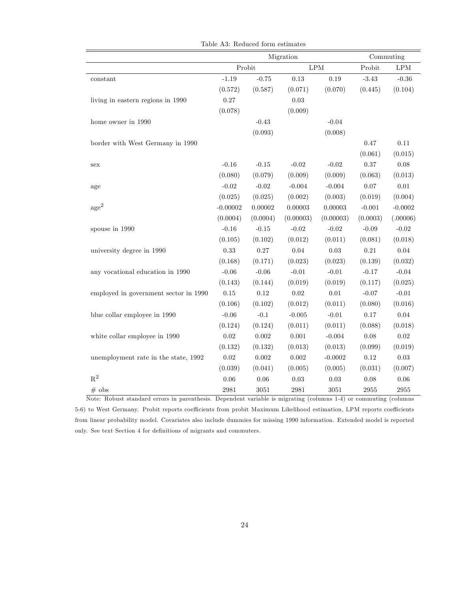|                                       |            |           | Migration |                      | Commuting  |            |
|---------------------------------------|------------|-----------|-----------|----------------------|------------|------------|
|                                       |            | Probit    |           | $\operatorname{LPM}$ | Probit     | LPM        |
| constant                              | $-1.19$    | $-0.75$   | 0.13      | 0.19                 | $-3.43$    | $-0.36$    |
|                                       | (0.572)    | (0.587)   | (0.071)   | (0.070)              | (0.445)    | (0.104)    |
| living in eastern regions in 1990     | $0.27\,$   |           | 0.03      |                      |            |            |
|                                       | (0.078)    |           | (0.009)   |                      |            |            |
| home owner in $1990\,$                |            | $-0.43$   |           | $-0.04$              |            |            |
|                                       |            | (0.093)   |           | (0.008)              |            |            |
| border with West Germany in 1990      |            |           |           |                      | 0.47       | 0.11       |
|                                       |            |           |           |                      | (0.061)    | (0.015)    |
| sex                                   | $-0.16$    | $-0.15$   | $-0.02$   | $-0.02$              | 0.37       | $0.08\,$   |
|                                       | (0.080)    | (0.079)   | (0.009)   | (0.009)              | (0.063)    | (0.013)    |
| age                                   | $-0.02$    | $-0.02$   | $-0.004$  | $-0.004$             | 0.07       | $0.01\,$   |
|                                       | (0.025)    | (0.025)   | (0.002)   | (0.003)              | (0.019)    | (0.004)    |
| $\rm age^2$                           | $-0.00002$ | 0.00002   | 0.00003   | $0.00003\,$          | $-0.001$   | $-0.0002$  |
|                                       | (0.0004)   | (0.0004)  | (0.00003) | (0.00003)            | (0.0003)   | (.00006)   |
| spouse in 1990                        | $-0.16$    | $-0.15$   | $-0.02$   | $-0.02$              | $-0.09$    | $-0.02$    |
|                                       | (0.105)    | (0.102)   | (0.012)   | (0.011)              | (0.081)    | (0.018)    |
| university degree in 1990             | $0.33\,$   | $0.27\,$  | $0.04\,$  | 0.03                 | $\rm 0.21$ | $0.04\,$   |
|                                       | (0.168)    | (0.171)   | (0.023)   | (0.023)              | (0.139)    | (0.032)    |
| any vocational education in 1990      | $-0.06$    | $-0.06$   | $-0.01$   | $-0.01$              | $-0.17$    | $-0.04$    |
|                                       | (0.143)    | (0.144)   | (0.019)   | (0.019)              | (0.117)    | (0.025)    |
| employed in government sector in 1990 | $0.15\,$   | $0.12\,$  | $0.02\,$  | $0.01\,$             | $-0.07$    | $-0.01$    |
|                                       | (0.106)    | (0.102)   | (0.012)   | (0.011)              | (0.080)    | (0.016)    |
| blue collar employee in 1990          | $-0.06$    | $-0.1$    | $-0.005$  | $-0.01$              | 0.17       | 0.04       |
|                                       | (0.124)    | (0.124)   | (0.011)   | (0.011)              | (0.088)    | (0.018)    |
| white collar employee in 1990         | $0.02\,$   | $0.002\,$ | $0.001\,$ | $-0.004$             | 0.08       | $0.02\,$   |
|                                       | (0.132)    | (0.132)   | (0.013)   | (0.013)              | (0.099)    | (0.019)    |
| unemployment rate in the state, 1992  | $0.02\,$   | 0.002     | 0.002     | $-0.0002$            | 0.12       | $\rm 0.03$ |
|                                       | (0.039)    | (0.041)   | (0.005)   | (0.005)              | (0.031)    | (0.007)    |
| $\mathbf{R}^2$                        | 0.06       | 0.06      | 0.03      | $0.03\,$             | 0.08       | 0.06       |
| $#$ obs                               | 2981       | $3051\,$  | 2981      | $3051\,$             | 2955       | 2955       |

Table A3: Reduced form estimates

Note: Robust standard errors in parenthesis. Dependent variable is migrating (columns 1-4) or commuting (columns 5-6) to West Germany. Probit reports coefficients from probit Maximum Likelihood estimation, LPM reports coefficients from linear probability model. Covariates also include dummies for missing 1990 information. Extended model is reported only. See text Section 4 for definitions of migrants and commuters.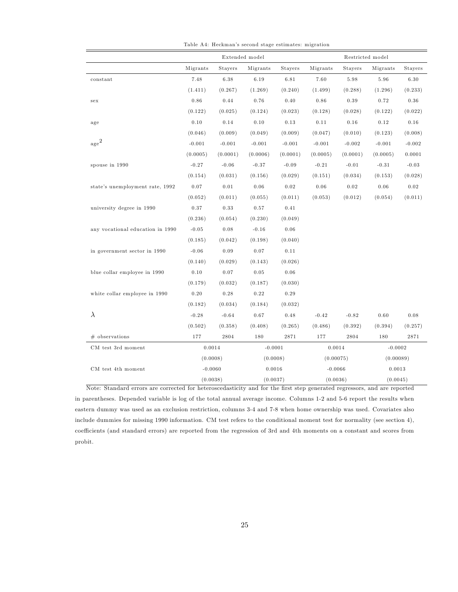|                                  | Extended model |          |            | Restricted model |           |          |           |          |
|----------------------------------|----------------|----------|------------|------------------|-----------|----------|-----------|----------|
|                                  | Migrants       | Stayers  | Migrants   | Stayers          | Migrants  | Stayers  | Migrants  | Stayers  |
| constant                         | 7.48           | 6.38     | 6.19       | 6.81             | 7.60      | 5.98     | 5.96      | 6.30     |
|                                  | (1.411)        | (0.267)  | (1.269)    | (0.240)          | (1.499)   | (0.288)  | (1.296)   | (0.233)  |
| sex                              | 0.86           | 0.44     | 0.76       | 0.40             | 0.86      | 0.39     | 0.72      | 0.36     |
|                                  | (0.122)        | (0.025)  | (0.124)    | (0.023)          | (0.128)   | (0.028)  | (0.122)   | (0.022)  |
| age                              | 0.10           | 0.14     | 0.10       | 0.13             | 0.11      | 0.16     | 0.12      | 0.16     |
|                                  | (0.046)        | (0.009)  | (0.049)    | (0.009)          | (0.047)   | (0.010)  | (0.123)   | (0.008)  |
| $_{\rm age}^2$                   | $-0.001$       | $-0.001$ | $-0.001$   | $-0.001$         | $-0.001$  | $-0.002$ | $-0.001$  | $-0.002$ |
|                                  | (0.0005)       | (0.0001) | (0.0006)   | (0.0001)         | (0.0005)  | (0.0001) | (0.0005)  | 0.0001   |
| spouse in 1990                   | $-0.27$        | $-0.06$  | $-0.37$    | $-0.09$          | $-0.21$   | $-0.01$  | $-0.31$   | $-0.03$  |
|                                  | (0.154)        | (0.031)  | (0.156)    | (0.029)          | (0.151)   | (0.034)  | (0.153)   | (0.028)  |
| state's unemployment rate, 1992  | 0.07           | 0.01     | 0.06       | 0.02             | 0.06      | 0.02     | 0.06      | 0.02     |
|                                  | (0.052)        | (0.011)  | (0.055)    | (0.011)          | (0.053)   | (0.012)  | (0.054)   | (0.011)  |
| university degree in 1990        | 0.37           | 0.33     | 0.57       | 0.41             |           |          |           |          |
|                                  | (0.236)        | (0.054)  | (0.230)    | (0.049)          |           |          |           |          |
| any vocational education in 1990 | $-0.05$        | 0.08     | $-0.16$    | 0.06             |           |          |           |          |
|                                  | (0.185)        | (0.042)  | (0.198)    | (0.040)          |           |          |           |          |
| in government sector in 1990     | $-0.06$        | 0.09     | 0.07       | 0.11             |           |          |           |          |
|                                  | (0.140)        | (0.029)  | (0.143)    | (0.026)          |           |          |           |          |
| blue collar employee in 1990     | 0.10           | 0.07     | $\rm 0.05$ | 0.06             |           |          |           |          |
|                                  | (0.179)        | (0.032)  | (0.187)    | (0.030)          |           |          |           |          |
| white collar employee in 1990    | 0.20           | 0.28     | 0.22       | 0.29             |           |          |           |          |
|                                  | (0.182)        | (0.034)  | (0.184)    | (0.032)          |           |          |           |          |
| $\lambda$                        | $-0.28$        | $-0.64$  | 0.67       | 0.48             | $-0.42$   | $-0.82$  | 0.60      | 0.08     |
|                                  | (0.502)        | (0.358)  | (0.408)    | (0.265)          | (0.486)   | (0.392)  | (0.394)   | (0.257)  |
| # observations                   | 177            | 2804     | 180        | 2871             | 177       | 2804     | 180       | 2871     |
| CM test 3rd moment               | 0.0014         |          | $-0.0001$  |                  | 0.0014    |          | $-0.0002$ |          |
|                                  | (0.0008)       |          | (0.0008)   |                  | (0.00075) |          | (0.00089) |          |
| CM test 4th moment               | $-0.0060$      |          | 0.0016     |                  | $-0.0066$ |          | 0.0013    |          |
| (0.0038)                         |                | (0.0037) |            | (0.0036)         |           | (0.0045) |           |          |

Table A4: Heckman's second stage estimates: migration

Note: Standard errors are corrected for heteroscedasticity and for the first step generated regressors, and are reported in parentheses. Depended variable is log of the total annual average income. Columns 1-2 and 5-6 report the results when eastern dummy was used as an exclusion restriction, columns 3-4 and 7-8 when home ownership was used. Covariates also include dummies for missing 1990 information. CM test refers to the conditional moment test for normality (see section 4), coe¢ cients (and standard errors) are reported from the regression of 3rd and 4th moments on a constant and scores from probit.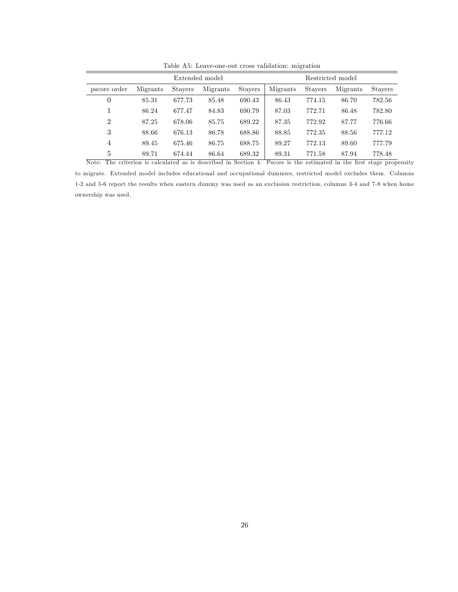|                | Extended model |                |          |                |          |                | Restricted model |                |  |  |  |
|----------------|----------------|----------------|----------|----------------|----------|----------------|------------------|----------------|--|--|--|
| pscore order   | Migrants       | <b>Stavers</b> | Migrants | <b>Stayers</b> | Migrants | <b>Stavers</b> | Migrants         | <b>Stavers</b> |  |  |  |
| 0              | 85.31          | 677.73         | 85.48    | 690.43         | 86.43    | 774.15         | 86.70            | 782.56         |  |  |  |
|                | 86.24          | 677.47         | 84.83    | 690.79         | 87.03    | 772.71         | 86.48            | 782.80         |  |  |  |
| $\overline{2}$ | 87.25          | 678.06         | 85.75    | 689.22         | 87.35    | 772.92         | 87.77            | 776.66         |  |  |  |
| 3              | 88.66          | 676.13         | 86.78    | 688.86         | 88.85    | 772.35         | 88.56            | 777.12         |  |  |  |
| 4              | 89.45          | 675.46         | 86.75    | 688.75         | 89.27    | 772.13         | 89.60            | 777.79         |  |  |  |
| 5              | 89.71          | 674.44         | 86.64    | 689.32         | 89.31    | 771.58         | 87.94            | 778.48         |  |  |  |

Table A5: Leave-one-out cross validation: migration

Note: The criterion is calculated as is described in Section 4. Pscore is the estimated in the first stage propensity to migrate. Extended model includes educational and occupational dummies, restricted model excludes them. Columns 1-2 and 5-6 report the results when eastern dummy was used as an exclusion restriction, columns 3-4 and 7-8 when home ownership was used.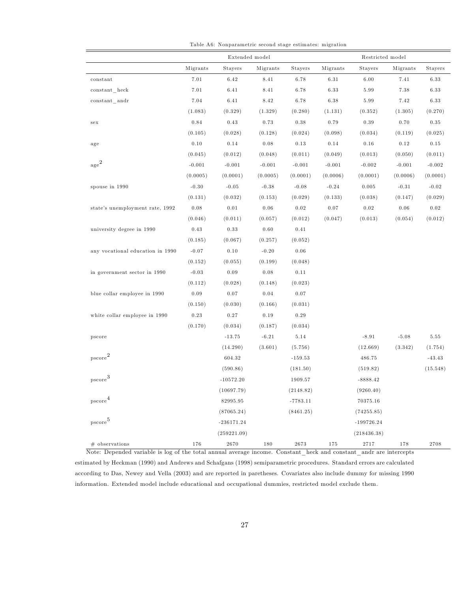|                                  |            | Extended model |            |            |          | Restricted model |            |            |
|----------------------------------|------------|----------------|------------|------------|----------|------------------|------------|------------|
|                                  | Migrants   | Stayers        | Migrants   | Stayers    | Migrants | Stayers          | Migrants   | Stayers    |
| constant                         | 7.01       | 6.42           | 8.41       | 6.78       | 6.31     | 6.00             | 7.41       | 6.33       |
| $constant$ heck                  | 7.01       | $6.41\,$       | 8.41       | 6.78       | $6.33\,$ | 5.99             | 7.38       | 6.33       |
| $constant$ andr                  | 7.04       | $6.41\,$       | $8.42\,$   | 6.78       | $6.38\,$ | 5.99             | 7.42       | 6.33       |
|                                  | (1.083)    | (0.329)        | (1.329)    | (0.280)    | (1.131)  | (0.352)          | (1.305)    | (0.270)    |
| $_{\rm sex}$                     | 0.84       | $\rm 0.43$     | 0.73       | $\rm 0.38$ | 0.79     | $0.39\,$         | 0.70       | $0.35\,$   |
|                                  | (0.105)    | (0.028)        | (0.128)    | (0.024)    | (0.098)  | (0.034)          | (0.119)    | (0.025)    |
| age                              | 0.10       | 0.14           | $0.08\,$   | 0.13       | 0.14     | 0.16             | 0.12       | 0.15       |
|                                  | (0.045)    | (0.012)        | (0.048)    | (0.011)    | (0.049)  | (0.013)          | (0.050)    | (0.011)    |
| $_{\rm age}^{\rm 2}$             | $-0.001$   | $-0.001$       | $-0.001$   | $-0.001$   | $-0.001$ | $-0.002$         | $-0.001$   | $-0.002$   |
|                                  | (0.0005)   | (0.0001)       | (0.0005)   | (0.0001)   | (0.0006) | (0.0001)         | (0.0006)   | (0.0001)   |
| spouse in 1990                   | $-0.30$    | $-0.05$        | $-0.38$    | $-0.08$    | $-0.24$  | 0.005            | $-0.31$    | $-0.02$    |
|                                  | (0.131)    | (0.032)        | (0.153)    | (0.029)    | (0.133)  | (0.038)          | (0.147)    | (0.029)    |
| state's unemployment rate, 1992  | 0.08       | $0.01\,$       | $0.06\,$   | 0.02       | $0.07\,$ | $\rm 0.02$       | $\rm 0.06$ | $\rm 0.02$ |
|                                  | (0.046)    | (0.011)        | (0.057)    | (0.012)    | (0.047)  | (0.013)          | (0.054)    | (0.012)    |
| university degree in 1990        | 0.43       | 0.33           | 0.60       | 0.41       |          |                  |            |            |
|                                  | (0.185)    | (0.067)        | (0.257)    | (0.052)    |          |                  |            |            |
| any vocational education in 1990 | $-0.07$    | 0.10           | $-0.20$    | 0.06       |          |                  |            |            |
|                                  | (0.152)    | (0.055)        | (0.199)    | (0.048)    |          |                  |            |            |
| in government sector in 1990     | $-0.03$    | $\rm 0.09$     | $\rm 0.08$ | 0.11       |          |                  |            |            |
|                                  | (0.112)    | (0.028)        | (0.148)    | (0.023)    |          |                  |            |            |
| blue collar employee in 1990     | 0.09       | 0.07           | $0.04\,$   | 0.07       |          |                  |            |            |
|                                  | (0.150)    | (0.030)        | (0.166)    | (0.031)    |          |                  |            |            |
| white collar employee in 1990    | $\rm 0.23$ | $0.27\,$       | $0.19\,$   | $\rm 0.29$ |          |                  |            |            |
|                                  | (0.170)    | (0.034)        | (0.187)    | (0.034)    |          |                  |            |            |
| pscore                           |            | $-13.75$       | $-6.21$    | 5.14       |          | $-8.91$          | $-5.08$    | $5.55\,$   |
|                                  |            | (14.290)       | (3.601)    | (5.756)    |          | (12.669)         | (3.342)    | (1.754)    |
| $_{\rm pscore}^{\rm 2}$          |            | 604.32         |            | $-159.53$  |          | 486.75           |            | $-43.43$   |
|                                  |            | (590.86)       |            | (181.50)   |          | (519.82)         |            | (15.548)   |
| $_{\rm pscore}{}^3$              |            | $-10572.20$    |            | 1909.57    |          | $-8888.42$       |            |            |
|                                  |            | (10697.79)     |            | (2148.82)  |          | (9260.40)        |            |            |
| $_{\rm pscore}{}^4$              |            | 82995.95       |            | $-7783.11$ |          | 70375.16         |            |            |
|                                  |            | (87065.24)     |            | (8461.25)  |          | (74255.85)       |            |            |
| pscore <sup>5</sup>              |            | $-236171.24$   |            |            |          | -199726.24       |            |            |
|                                  |            | (259221.09)    |            |            |          | (218436.38)      |            |            |
| $#$ observations                 | 176        | 2670           | 180        | 2673       | 175      | 2717             | 178        | 2708       |

Table A6: Nonparametric second stage estim ates: migration

Note: Depended variable is log of the total annual average income. Constant\_heck and constant\_andr are intercepts estimated by Heckman (1990) and Andrews and Schafgans (1998) semiparametric procedures. Standard errors are calculated according to Das, Newey and Vella (2003) and are reported in paretheses. Covariates also include dummy for missing 1990 information. Extended model include educational and occupational dummies, restricted model exclude them.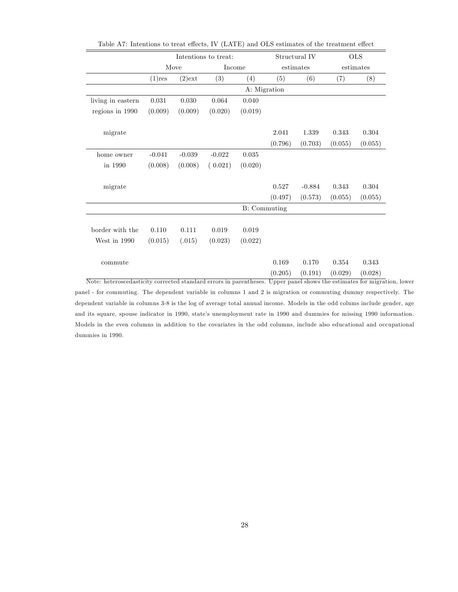|                   |           |           | Intentions to treat: |              |         | Structural IV |         | <b>OLS</b> |
|-------------------|-----------|-----------|----------------------|--------------|---------|---------------|---------|------------|
|                   |           | Move      |                      | Income       |         | estimates     |         | estimates  |
|                   | $(1)$ res | $(2)$ ext | (3)                  | (4)          | (5)     | (6)           | (7)     | (8)        |
|                   |           |           |                      | A: Migration |         |               |         |            |
| living in eastern | 0.031     | 0.030     | 0.064                | 0.040        |         |               |         |            |
| regions in 1990   | (0.009)   | (0.009)   | (0.020)              | (0.019)      |         |               |         |            |
|                   |           |           |                      |              |         |               |         |            |
| migrate           |           |           |                      |              | 2.041   | 1.339         | 0.343   | 0.304      |
|                   |           |           |                      |              | (0.796) | (0.703)       | (0.055) | (0.055)    |
| home owner        | $-0.041$  | $-0.039$  | $-0.022$             | 0.035        |         |               |         |            |
| in 1990           | (0.008)   | (0.008)   | (0.021)              | (0.020)      |         |               |         |            |
|                   |           |           |                      |              |         |               |         |            |
| migrate           |           |           |                      |              | 0.527   | $-0.884$      | 0.343   | 0.304      |
|                   |           |           |                      |              | (0.497) | (0.573)       | (0.055) | (0.055)    |
|                   |           |           |                      | B: Commuting |         |               |         |            |
|                   |           |           |                      |              |         |               |         |            |
| border with the   | 0.110     | 0.111     | 0.019                | $0.019\,$    |         |               |         |            |
| West in 1990      | (0.015)   | (.015)    | (0.023)              | (0.022)      |         |               |         |            |
|                   |           |           |                      |              |         |               |         |            |
| commute           |           |           |                      |              | 0.169   | 0.170         | 0.354   | 0.343      |
|                   |           |           |                      |              | (0.205) | (0.191)       | (0.029) | (0.028)    |

Table A7: Intentions to treat effects, IV (LATE) and OLS estimates of the treatment effect

Note: heteroscedasticity corrected standard errors in parentheses. Upper panel shows the estimates for migration, lower panel - for commuting. The dependent variable in columns 1 and 2 is migration or commuting dummy respectively. The dependent variable in columns 3-8 is the log of average total annual income. Models in the odd colums include gender, age and its square, spouse indicator in 1990, state's unemployment rate in 1990 and dummies for missing 1990 information. Models in the even columns in addition to the covariates in the odd columns, include also educational and occupational dummies in 1990.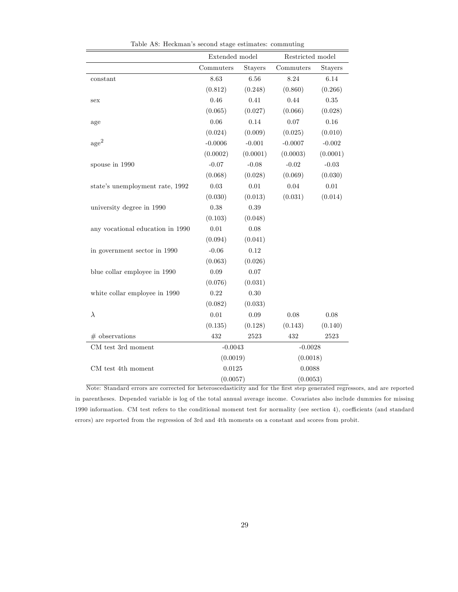|                                  | Extended model |          | Restricted model |            |  |
|----------------------------------|----------------|----------|------------------|------------|--|
|                                  | Commuters      | Stayers  | Commuters        | Stayers    |  |
| constant                         | 8.63           | 6.56     | 8.24             | 6.14       |  |
|                                  | (0.812)        | (0.248)  | (0.860)          | (0.266)    |  |
| sex                              | 0.46           | 0.41     | 0.44             | $\rm 0.35$ |  |
|                                  | (0.065)        | (0.027)  | (0.066)          | (0.028)    |  |
| age                              | 0.06           | 0.14     | 0.07             | 0.16       |  |
|                                  | (0.024)        | (0.009)  | (0.025)          | (0.010)    |  |
| $\mathrm{age}^2$                 | $-0.0006$      | $-0.001$ | $-0.0007$        | $-0.002$   |  |
|                                  | (0.0002)       | (0.0001) | (0.0003)         | (0.0001)   |  |
| spouse in 1990                   | $-0.07$        | $-0.08$  | $-0.02$          | $-0.03$    |  |
|                                  | (0.068)        | (0.028)  | (0.069)          | (0.030)    |  |
| state's unemployment rate, 1992  | 0.03           | 0.01     | 0.04             | 0.01       |  |
|                                  | (0.030)        | (0.013)  | (0.031)          | (0.014)    |  |
| university degree in 1990        | 0.38           | 0.39     |                  |            |  |
|                                  | (0.103)        | (0.048)  |                  |            |  |
| any vocational education in 1990 | 0.01           | 0.08     |                  |            |  |
|                                  | (0.094)        | (0.041)  |                  |            |  |
| in government sector in 1990     | $-0.06$        | 0.12     |                  |            |  |
|                                  | (0.063)        | (0.026)  |                  |            |  |
| blue collar employee in 1990     | 0.09           | 0.07     |                  |            |  |
|                                  | (0.076)        | (0.031)  |                  |            |  |
| white collar employee in 1990    | 0.22           | 0.30     |                  |            |  |
|                                  | (0.082)        | (0.033)  |                  |            |  |
| $\lambda$                        | 0.01           | 0.09     | 0.08             | 0.08       |  |
|                                  | (0.135)        | (0.128)  | (0.143)          | (0.140)    |  |
| $#$ observations                 | 432            | 2523     | 432              | 2523       |  |
| CM test 3rd moment               | $-0.0043$      |          | $-0.0028$        |            |  |
|                                  | (0.0019)       |          | (0.0018)         |            |  |
| CM test 4th moment               | 0.0125         |          | 0.0088           |            |  |
|                                  | (0.0057)       |          | (0.0053)         |            |  |

Table A8: Heckman's second stage estimates: commuting

Note: Standard errors are corrected for heteroscedasticity and for the Örst step generated regressors, and are reported in parentheses. Depended variable is log of the total annual average income. Covariates also include dummies for missing 1990 information. CM test refers to the conditional moment test for normality (see section 4), coefficients (and standard errors) are reported from the regression of 3rd and 4th moments on a constant and scores from probit.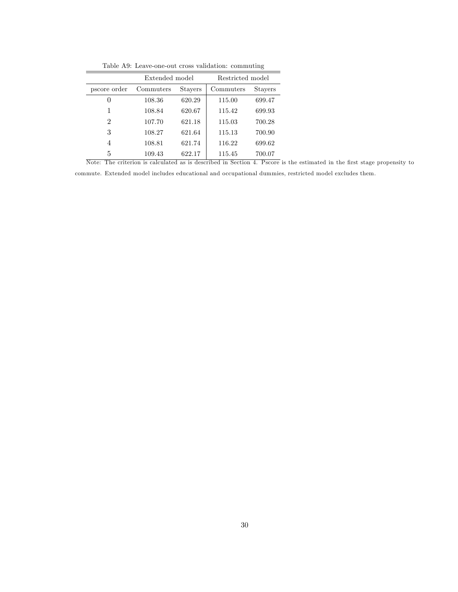| Table A9: Leave-one-out cross validation: commuting |  |
|-----------------------------------------------------|--|
|-----------------------------------------------------|--|

|              | Extended model |         | Restricted model |                |
|--------------|----------------|---------|------------------|----------------|
| pscore order | Commuters      | Stayers | Commuters        | <b>Stayers</b> |
| $\theta$     | 108.36         | 620.29  | 115.00           | 699.47         |
| 1            | 108.84         | 620.67  | 115.42           | 699.93         |
| 2            | 107.70         | 621.18  | 115.03           | 700.28         |
| 3            | 108.27         | 621.64  | 115.13           | 700.90         |
| 4            | 108.81         | 621.74  | 116.22           | 699.62         |
| 5            | 109.43         | 622.17  | 115.45           | 700.07         |

Note: The criterion is calculated as is described in Section 4. Pscore is the estimated in the Örst stage propensity to commute. Extended model includes educational and occupational dummies, restricted model excludes them.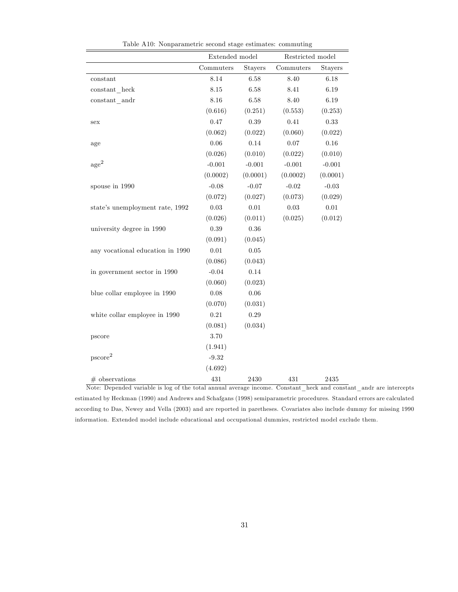|                                  | Extended model |          | Restricted model |          |
|----------------------------------|----------------|----------|------------------|----------|
|                                  | Commuters      | Stayers  | Commuters        | Stayers  |
| constant                         | 8.14           | 6.58     | 8.40             | 6.18     |
| constant heck                    | 8.15           | 6.58     | 8.41             | 6.19     |
| $constant$ andr                  | 8.16           | 6.58     | 8.40             | 6.19     |
|                                  | (0.616)        | (0.251)  | (0.553)          | (0.253)  |
| sex                              | 0.47           | 0.39     | 0.41             | 0.33     |
|                                  | (0.062)        | (0.022)  | (0.060)          | (0.022)  |
| age                              | 0.06           | 0.14     | 0.07             | 0.16     |
|                                  | (0.026)        | (0.010)  | (0.022)          | (0.010)  |
| $\rm age^2$                      | $-0.001$       | $-0.001$ | $-0.001$         | $-0.001$ |
|                                  | (0.0002)       | (0.0001) | (0.0002)         | (0.0001) |
| spouse in 1990                   | $-0.08$        | $-0.07$  | $-0.02$          | $-0.03$  |
|                                  | (0.072)        | (0.027)  | (0.073)          | (0.029)  |
| state's unemployment rate, 1992  | 0.03           | 0.01     | 0.03             | $0.01\,$ |
|                                  | (0.026)        | (0.011)  | (0.025)          | (0.012)  |
| university degree in 1990        | 0.39           | 0.36     |                  |          |
|                                  | (0.091)        | (0.045)  |                  |          |
| any vocational education in 1990 | 0.01           | $0.05\,$ |                  |          |
|                                  | (0.086)        | (0.043)  |                  |          |
| in government sector in 1990     | $-0.04$        | 0.14     |                  |          |
|                                  | (0.060)        | (0.023)  |                  |          |
| blue collar employee in 1990     | 0.08           | 0.06     |                  |          |
|                                  | (0.070)        | (0.031)  |                  |          |
| white collar employee in 1990    | 0.21           | 0.29     |                  |          |
|                                  | (0.081)        | (0.034)  |                  |          |
| pscore                           | 3.70           |          |                  |          |
|                                  | (1.941)        |          |                  |          |
| pscore <sup>2</sup>              | $-9.32$        |          |                  |          |
|                                  | (4.692)        |          |                  |          |
| $#$ observations                 | 431            | 2430     | 431              | 2435     |

Table A10: Nonparametric second stage estimates: commuting

Note: Depended variable is log of the total annual average income. Constant\_heck and constant\_andr are intercepts estimated by Heckman (1990) and Andrews and Schafgans (1998) semiparametric procedures. Standard errors are calculated according to Das, Newey and Vella (2003) and are reported in paretheses. Covariates also include dummy for missing 1990 information. Extended model include educational and occupational dummies, restricted model exclude them.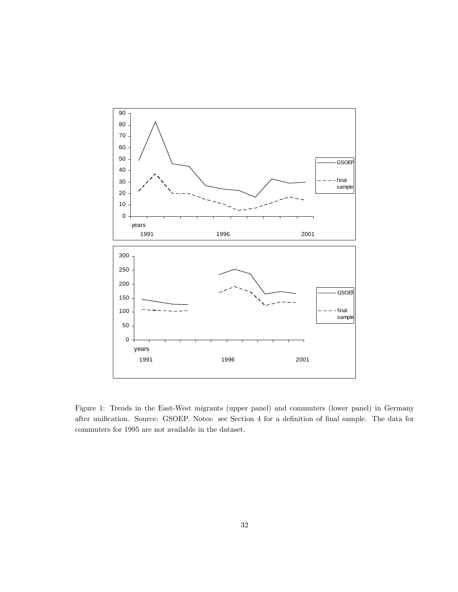

Figure 1: Trends in the East-West migrants (upper panel) and commuters (lower panel) in Germany after unification. Source: GSOEP. Notes: see Section 4 for a definition of final sample. The data for commuters for 1995 are not available in the dataset.